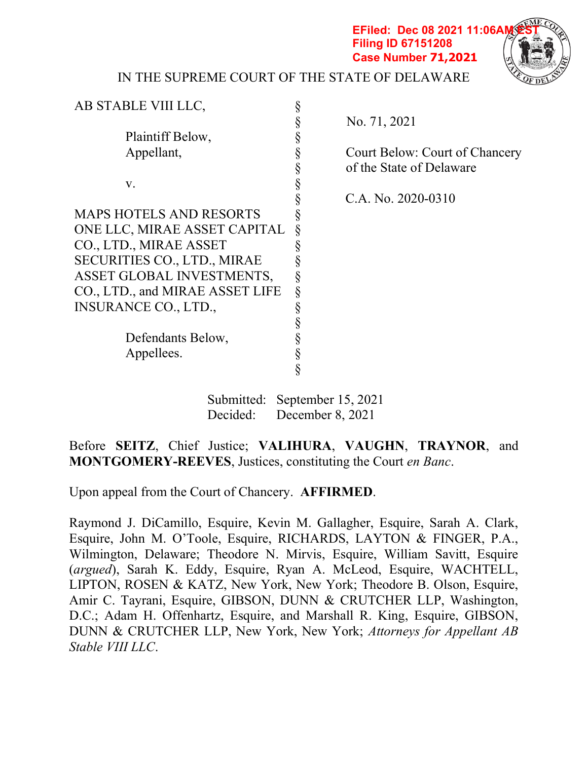**EFiled: Dec 08 2021 11:06AM Filing ID 67151208 Case Number 71,2021**



IN THE SUPREME COURT OF THE STATE OF DELAWARE

| AB STABLE VIII LLC,                |                                     |
|------------------------------------|-------------------------------------|
|                                    | §<br>No. 71, 2021                   |
| Plaintiff Below,                   |                                     |
| Appellant,                         | §<br>Court Below: Court of Chancery |
|                                    | §<br>of the State of Delaware       |
| V.                                 | §                                   |
|                                    | C.A. No. 2020-0310<br>§             |
| <b>MAPS HOTELS AND RESORTS</b>     |                                     |
| ONE LLC, MIRAE ASSET CAPITAL       |                                     |
| CO., LTD., MIRAE ASSET             |                                     |
| <b>SECURITIES CO., LTD., MIRAE</b> |                                     |
| ASSET GLOBAL INVESTMENTS,          |                                     |
| CO., LTD., and MIRAE ASSET LIFE    | §                                   |
| <b>INSURANCE CO., LTD.,</b>        |                                     |
|                                    |                                     |
| Defendants Below,                  |                                     |
| Appellees.                         | §                                   |
|                                    | Ş                                   |
|                                    | Submitted: September 15, 2021       |
| Decided:                           | December 8, 2021                    |

Before SEITZ, Chief Justice; VALIHURA, VAUGHN, TRAYNOR, and MONTGOMERY-REEVES, Justices, constituting the Court en Banc.

Upon appeal from the Court of Chancery. AFFIRMED.

Raymond J. DiCamillo, Esquire, Kevin M. Gallagher, Esquire, Sarah A. Clark, Esquire, John M. O'Toole, Esquire, RICHARDS, LAYTON & FINGER, P.A., Wilmington, Delaware; Theodore N. Mirvis, Esquire, William Savitt, Esquire (argued), Sarah K. Eddy, Esquire, Ryan A. McLeod, Esquire, WACHTELL, LIPTON, ROSEN & KATZ, New York, New York; Theodore B. Olson, Esquire, Amir C. Tayrani, Esquire, GIBSON, DUNN & CRUTCHER LLP, Washington, D.C.; Adam H. Offenhartz, Esquire, and Marshall R. King, Esquire, GIBSON, DUNN & CRUTCHER LLP, New York, New York; Attorneys for Appellant AB Stable VIII LLC.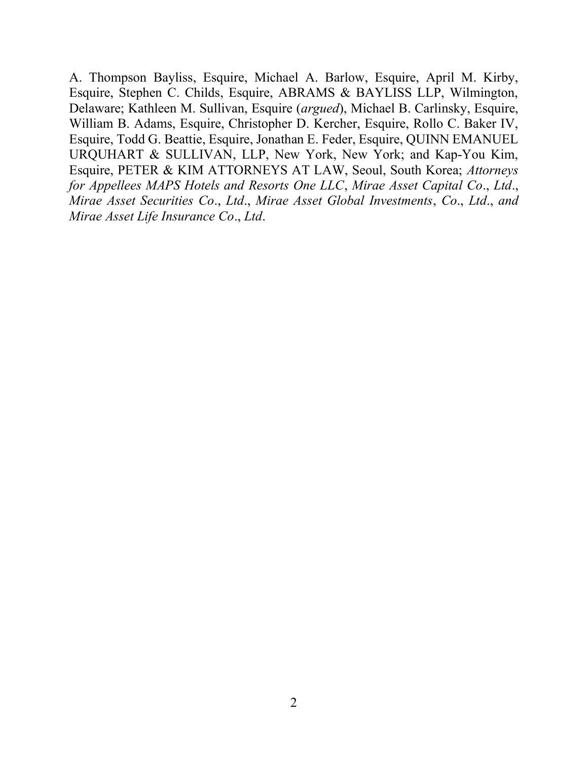A. Thompson Bayliss, Esquire, Michael A. Barlow, Esquire, April M. Kirby, Esquire, Stephen C. Childs, Esquire, ABRAMS & BAYLISS LLP, Wilmington, Delaware; Kathleen M. Sullivan, Esquire (argued), Michael B. Carlinsky, Esquire, William B. Adams, Esquire, Christopher D. Kercher, Esquire, Rollo C. Baker IV, Esquire, Todd G. Beattie, Esquire, Jonathan E. Feder, Esquire, QUINN EMANUEL URQUHART & SULLIVAN, LLP, New York, New York; and Kap-You Kim, Esquire, PETER & KIM ATTORNEYS AT LAW, Seoul, South Korea; Attorneys for Appellees MAPS Hotels and Resorts One LLC, Mirae Asset Capital Co., Ltd., Mirae Asset Securities Co., Ltd., Mirae Asset Global Investments, Co., Ltd., and Mirae Asset Life Insurance Co., Ltd.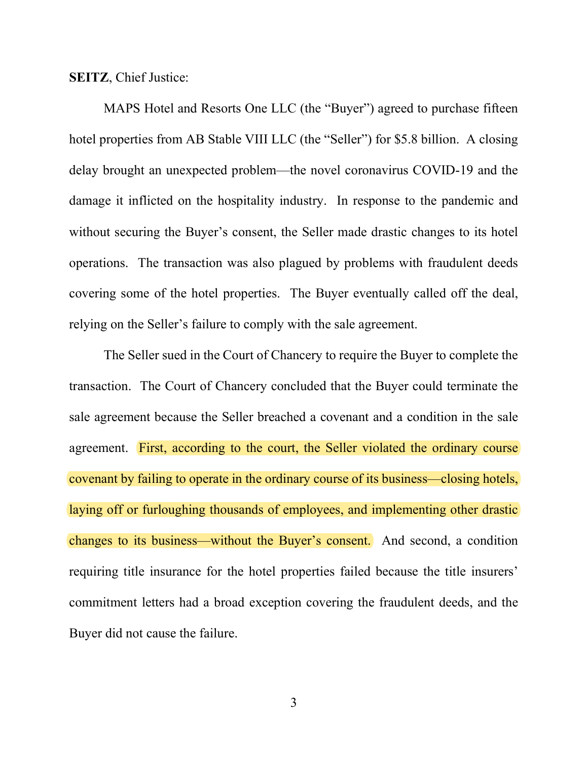SEITZ, Chief Justice:

MAPS Hotel and Resorts One LLC (the "Buyer") agreed to purchase fifteen hotel properties from AB Stable VIII LLC (the "Seller") for \$5.8 billion. A closing delay brought an unexpected problem—the novel coronavirus COVID-19 and the damage it inflicted on the hospitality industry. In response to the pandemic and without securing the Buyer's consent, the Seller made drastic changes to its hotel operations. The transaction was also plagued by problems with fraudulent deeds covering some of the hotel properties. The Buyer eventually called off the deal, relying on the Seller's failure to comply with the sale agreement.

The Seller sued in the Court of Chancery to require the Buyer to complete the transaction. The Court of Chancery concluded that the Buyer could terminate the sale agreement because the Seller breached a covenant and a condition in the sale agreement. First, according to the court, the Seller violated the ordinary course covenant by failing to operate in the ordinary course of its business—closing hotels, laying off or furloughing thousands of employees, and implementing other drastic changes to its business—without the Buyer's consent. And second, a condition requiring title insurance for the hotel properties failed because the title insurers' commitment letters had a broad exception covering the fraudulent deeds, and the Buyer did not cause the failure.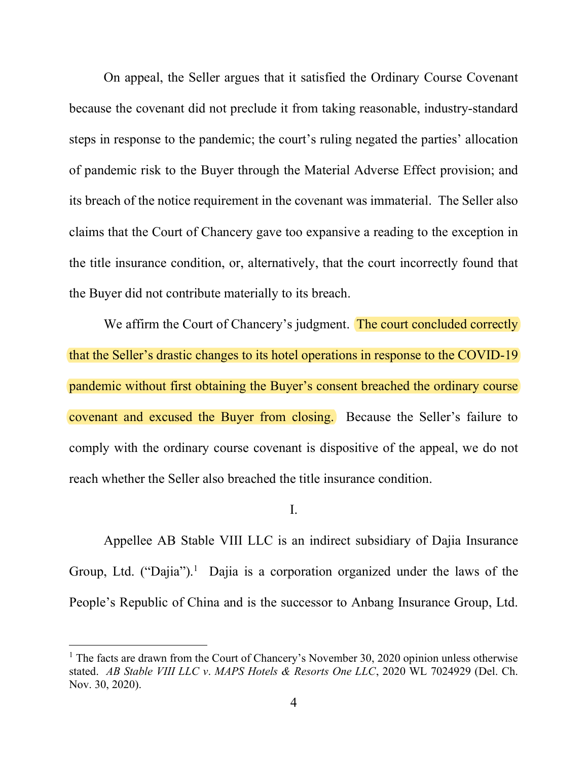On appeal, the Seller argues that it satisfied the Ordinary Course Covenant because the covenant did not preclude it from taking reasonable, industry-standard steps in response to the pandemic; the court's ruling negated the parties' allocation of pandemic risk to the Buyer through the Material Adverse Effect provision; and its breach of the notice requirement in the covenant was immaterial. The Seller also claims that the Court of Chancery gave too expansive a reading to the exception in the title insurance condition, or, alternatively, that the court incorrectly found that the Buyer did not contribute materially to its breach.

We affirm the Court of Chancery's judgment. The court concluded correctly that the Seller's drastic changes to its hotel operations in response to the COVID-19 pandemic without first obtaining the Buyer's consent breached the ordinary course covenant and excused the Buyer from closing. Because the Seller's failure to comply with the ordinary course covenant is dispositive of the appeal, we do not reach whether the Seller also breached the title insurance condition.

## I.

Appellee AB Stable VIII LLC is an indirect subsidiary of Dajia Insurance Group, Ltd. ("Dajia").<sup>1</sup> Dajia is a corporation organized under the laws of the People's Republic of China and is the successor to Anbang Insurance Group, Ltd.

<sup>&</sup>lt;sup>1</sup> The facts are drawn from the Court of Chancery's November 30, 2020 opinion unless otherwise stated. AB Stable VIII LLC v. MAPS Hotels & Resorts One LLC, 2020 WL 7024929 (Del. Ch. Nov. 30, 2020).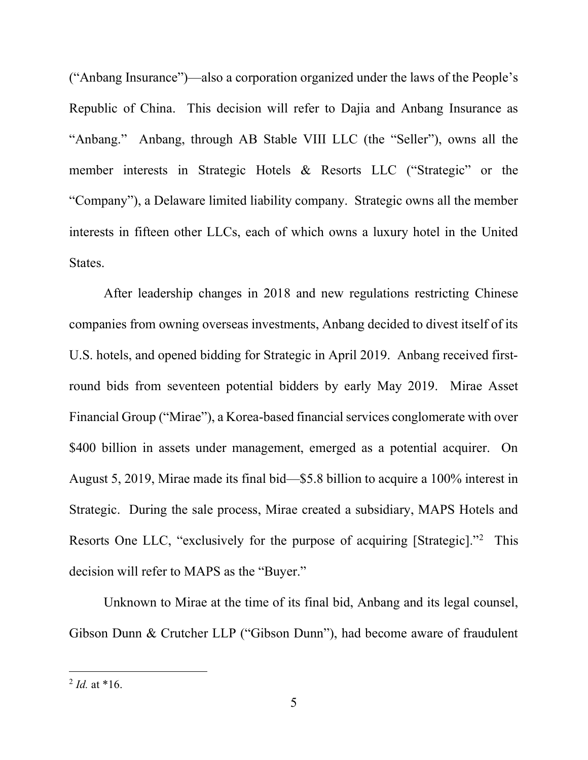("Anbang Insurance")—also a corporation organized under the laws of the People's Republic of China. This decision will refer to Dajia and Anbang Insurance as "Anbang." Anbang, through AB Stable VIII LLC (the "Seller"), owns all the member interests in Strategic Hotels & Resorts LLC ("Strategic" or the "Company"), a Delaware limited liability company. Strategic owns all the member interests in fifteen other LLCs, each of which owns a luxury hotel in the United States.

After leadership changes in 2018 and new regulations restricting Chinese companies from owning overseas investments, Anbang decided to divest itself of its U.S. hotels, and opened bidding for Strategic in April 2019. Anbang received firstround bids from seventeen potential bidders by early May 2019. Mirae Asset Financial Group ("Mirae"), a Korea-based financial services conglomerate with over \$400 billion in assets under management, emerged as a potential acquirer. On August 5, 2019, Mirae made its final bid—\$5.8 billion to acquire a 100% interest in Strategic. During the sale process, Mirae created a subsidiary, MAPS Hotels and Resorts One LLC, "exclusively for the purpose of acquiring [Strategic]."<sup>2</sup> This decision will refer to MAPS as the "Buyer."

Unknown to Mirae at the time of its final bid, Anbang and its legal counsel, Gibson Dunn & Crutcher LLP ("Gibson Dunn"), had become aware of fraudulent

 $^{2}$  *Id.* at \*16.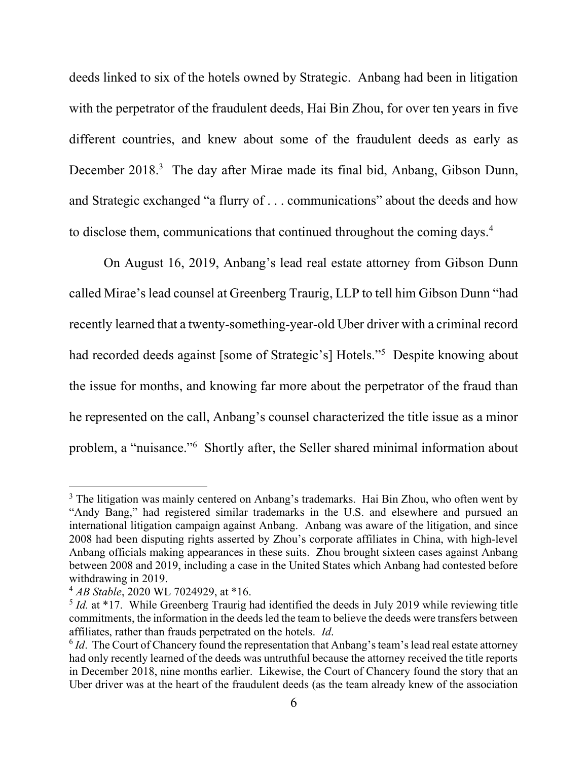deeds linked to six of the hotels owned by Strategic. Anbang had been in litigation with the perpetrator of the fraudulent deeds, Hai Bin Zhou, for over ten years in five different countries, and knew about some of the fraudulent deeds as early as December 2018.<sup>3</sup> The day after Mirae made its final bid, Anbang, Gibson Dunn, and Strategic exchanged "a flurry of . . . communications" about the deeds and how to disclose them, communications that continued throughout the coming days.<sup>4</sup>

On August 16, 2019, Anbang's lead real estate attorney from Gibson Dunn called Mirae's lead counsel at Greenberg Traurig, LLP to tell him Gibson Dunn "had recently learned that a twenty-something-year-old Uber driver with a criminal record had recorded deeds against [some of Strategic's] Hotels."<sup>5</sup> Despite knowing about the issue for months, and knowing far more about the perpetrator of the fraud than he represented on the call, Anbang's counsel characterized the title issue as a minor problem, a "nuisance."<sup>6</sup> Shortly after, the Seller shared minimal information about

 $3$  The litigation was mainly centered on Anbang's trademarks. Hai Bin Zhou, who often went by "Andy Bang," had registered similar trademarks in the U.S. and elsewhere and pursued an international litigation campaign against Anbang. Anbang was aware of the litigation, and since 2008 had been disputing rights asserted by Zhou's corporate affiliates in China, with high-level Anbang officials making appearances in these suits. Zhou brought sixteen cases against Anbang between 2008 and 2019, including a case in the United States which Anbang had contested before withdrawing in 2019.

 $^{4}$  AB Stable, 2020 WL 7024929, at \*16.

 $5$  *Id.* at  $*17$ . While Greenberg Traurig had identified the deeds in July 2019 while reviewing title commitments, the information in the deeds led the team to believe the deeds were transfers between affiliates, rather than frauds perpetrated on the hotels. Id.

 $6$  *Id*. The Court of Chancery found the representation that Anbang's team's lead real estate attorney had only recently learned of the deeds was untruthful because the attorney received the title reports in December 2018, nine months earlier. Likewise, the Court of Chancery found the story that an Uber driver was at the heart of the fraudulent deeds (as the team already knew of the association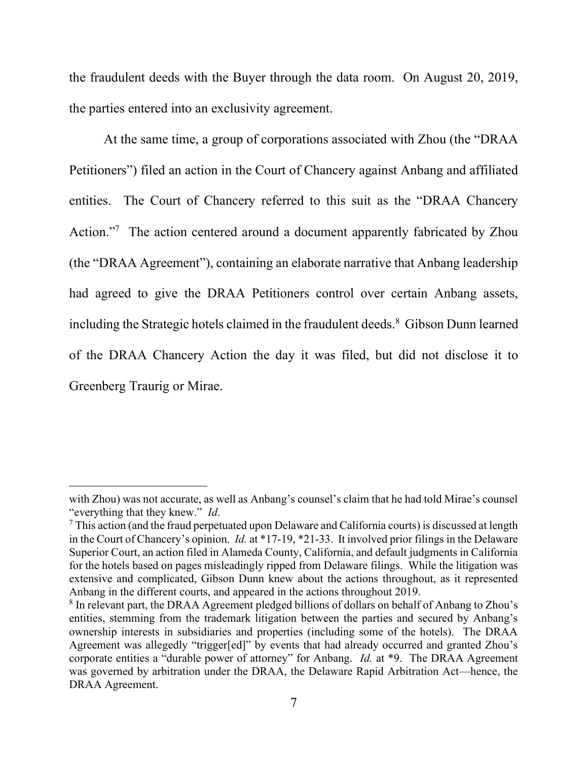the fraudulent deeds with the Buyer through the data room. On August 20, 2019, the parties entered into an exclusivity agreement.

At the same time, a group of corporations associated with Zhou (the "DRAA Petitioners") filed an action in the Court of Chancery against Anbang and affiliated entities. The Court of Chancery referred to this suit as the "DRAA Chancery Action."<sup>7</sup> The action centered around a document apparently fabricated by Zhou (the "DRAA Agreement"), containing an elaborate narrative that Anbang leadership had agreed to give the DRAA Petitioners control over certain Anbang assets, including the Strategic hotels claimed in the fraudulent deeds.<sup>8</sup> Gibson Dunn learned of the DRAA Chancery Action the day it was filed, but did not disclose it to Greenberg Traurig or Mirae.

with Zhou) was not accurate, as well as Anbang's counsel's claim that he had told Mirae's counsel "everything that they knew." Id.

 $7$  This action (and the fraud perpetuated upon Delaware and California courts) is discussed at length in the Court of Chancery's opinion. Id. at \*17-19, \*21-33. It involved prior filings in the Delaware Superior Court, an action filed in Alameda County, California, and default judgments in California for the hotels based on pages misleadingly ripped from Delaware filings. While the litigation was extensive and complicated, Gibson Dunn knew about the actions throughout, as it represented Anbang in the different courts, and appeared in the actions throughout 2019.

<sup>&</sup>lt;sup>8</sup> In relevant part, the DRAA Agreement pledged billions of dollars on behalf of Anbang to Zhou's entities, stemming from the trademark litigation between the parties and secured by Anbang's ownership interests in subsidiaries and properties (including some of the hotels). The DRAA Agreement was allegedly "trigger[ed]" by events that had already occurred and granted Zhou's corporate entities a "durable power of attorney" for Anbang. *Id.* at \*9. The DRAA Agreement was governed by arbitration under the DRAA, the Delaware Rapid Arbitration Act—hence, the DRAA Agreement.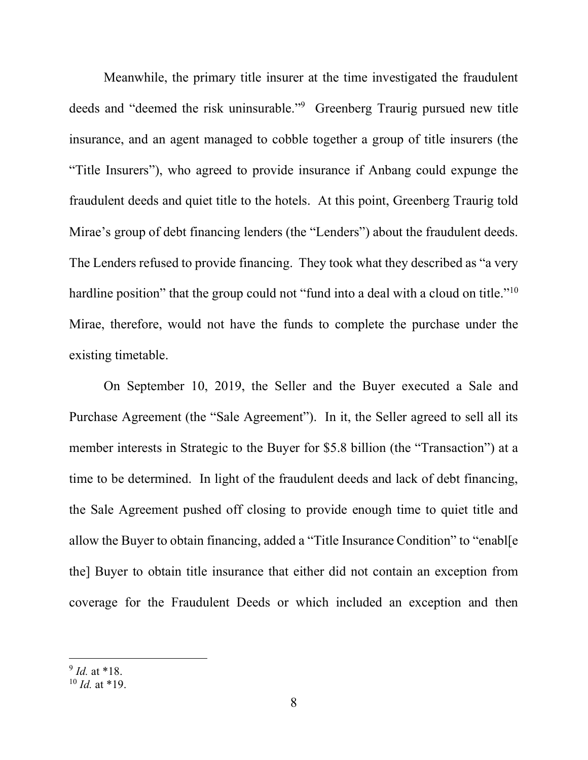Meanwhile, the primary title insurer at the time investigated the fraudulent deeds and "deemed the risk uninsurable."<sup>9</sup> Greenberg Traurig pursued new title insurance, and an agent managed to cobble together a group of title insurers (the "Title Insurers"), who agreed to provide insurance if Anbang could expunge the fraudulent deeds and quiet title to the hotels. At this point, Greenberg Traurig told Mirae's group of debt financing lenders (the "Lenders") about the fraudulent deeds. The Lenders refused to provide financing. They took what they described as "a very hardline position" that the group could not "fund into a deal with a cloud on title."<sup>10</sup> Mirae, therefore, would not have the funds to complete the purchase under the existing timetable.

On September 10, 2019, the Seller and the Buyer executed a Sale and Purchase Agreement (the "Sale Agreement"). In it, the Seller agreed to sell all its member interests in Strategic to the Buyer for \$5.8 billion (the "Transaction") at a time to be determined. In light of the fraudulent deeds and lack of debt financing, the Sale Agreement pushed off closing to provide enough time to quiet title and allow the Buyer to obtain financing, added a "Title Insurance Condition" to "enabl[e the] Buyer to obtain title insurance that either did not contain an exception from coverage for the Fraudulent Deeds or which included an exception and then

 $9$  *Id.* at \*18.

 $10$  *Id.* at \*19.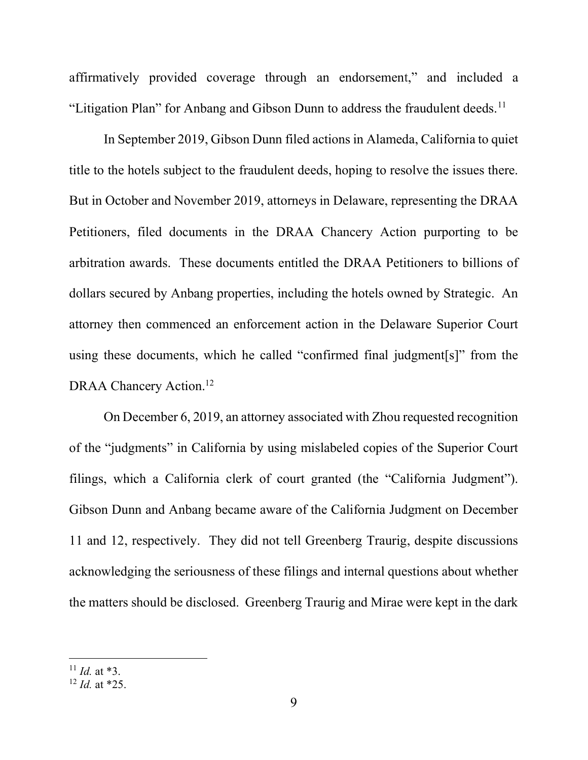affirmatively provided coverage through an endorsement," and included a "Litigation Plan" for Anbang and Gibson Dunn to address the fraudulent deeds.<sup>11</sup>

In September 2019, Gibson Dunn filed actions in Alameda, California to quiet title to the hotels subject to the fraudulent deeds, hoping to resolve the issues there. But in October and November 2019, attorneys in Delaware, representing the DRAA Petitioners, filed documents in the DRAA Chancery Action purporting to be arbitration awards. These documents entitled the DRAA Petitioners to billions of dollars secured by Anbang properties, including the hotels owned by Strategic. An attorney then commenced an enforcement action in the Delaware Superior Court using these documents, which he called "confirmed final judgment[s]" from the DRAA Chancery Action.<sup>12</sup>

On December 6, 2019, an attorney associated with Zhou requested recognition of the "judgments" in California by using mislabeled copies of the Superior Court filings, which a California clerk of court granted (the "California Judgment"). Gibson Dunn and Anbang became aware of the California Judgment on December 11 and 12, respectively. They did not tell Greenberg Traurig, despite discussions acknowledging the seriousness of these filings and internal questions about whether the matters should be disclosed. Greenberg Traurig and Mirae were kept in the dark

 $11$  *Id.* at \*3.

 $12$  *Id.* at \*25.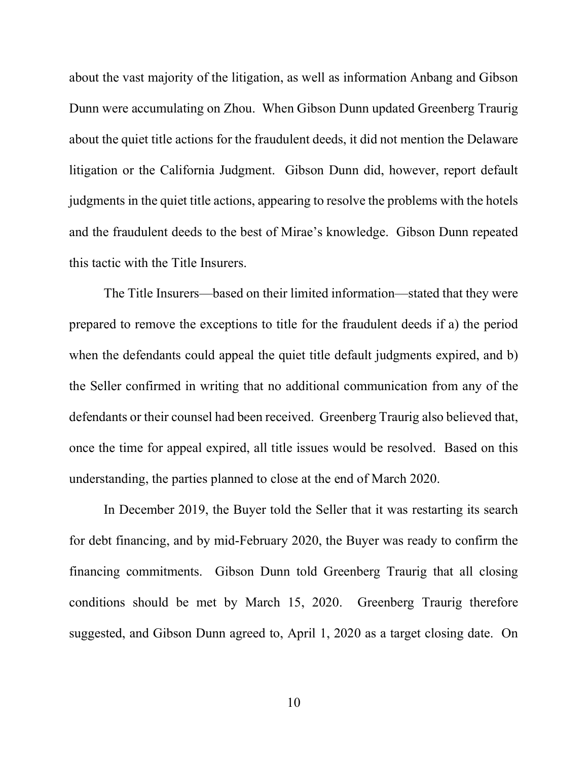about the vast majority of the litigation, as well as information Anbang and Gibson Dunn were accumulating on Zhou. When Gibson Dunn updated Greenberg Traurig about the quiet title actions for the fraudulent deeds, it did not mention the Delaware litigation or the California Judgment. Gibson Dunn did, however, report default judgments in the quiet title actions, appearing to resolve the problems with the hotels and the fraudulent deeds to the best of Mirae's knowledge. Gibson Dunn repeated this tactic with the Title Insurers.

The Title Insurers—based on their limited information—stated that they were prepared to remove the exceptions to title for the fraudulent deeds if a) the period when the defendants could appeal the quiet title default judgments expired, and b) the Seller confirmed in writing that no additional communication from any of the defendants or their counsel had been received. Greenberg Traurig also believed that, once the time for appeal expired, all title issues would be resolved. Based on this understanding, the parties planned to close at the end of March 2020.

In December 2019, the Buyer told the Seller that it was restarting its search for debt financing, and by mid-February 2020, the Buyer was ready to confirm the financing commitments. Gibson Dunn told Greenberg Traurig that all closing conditions should be met by March 15, 2020. Greenberg Traurig therefore suggested, and Gibson Dunn agreed to, April 1, 2020 as a target closing date. On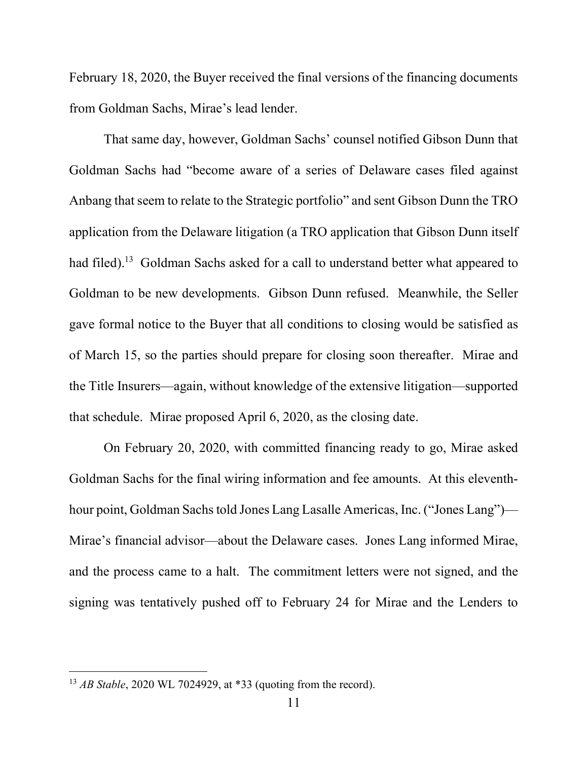February 18, 2020, the Buyer received the final versions of the financing documents from Goldman Sachs, Mirae's lead lender.

That same day, however, Goldman Sachs' counsel notified Gibson Dunn that Goldman Sachs had "become aware of a series of Delaware cases filed against Anbang that seem to relate to the Strategic portfolio" and sent Gibson Dunn the TRO application from the Delaware litigation (a TRO application that Gibson Dunn itself had filed).<sup>13</sup> Goldman Sachs asked for a call to understand better what appeared to Goldman to be new developments. Gibson Dunn refused. Meanwhile, the Seller gave formal notice to the Buyer that all conditions to closing would be satisfied as of March 15, so the parties should prepare for closing soon thereafter. Mirae and the Title Insurers—again, without knowledge of the extensive litigation—supported that schedule. Mirae proposed April 6, 2020, as the closing date.

On February 20, 2020, with committed financing ready to go, Mirae asked Goldman Sachs for the final wiring information and fee amounts. At this eleventhhour point, Goldman Sachs told Jones Lang Lasalle Americas, Inc. ("Jones Lang")— Mirae's financial advisor—about the Delaware cases. Jones Lang informed Mirae, and the process came to a halt. The commitment letters were not signed, and the signing was tentatively pushed off to February 24 for Mirae and the Lenders to

<sup>&</sup>lt;sup>13</sup> *AB Stable*, 2020 WL 7024929, at \*33 (quoting from the record).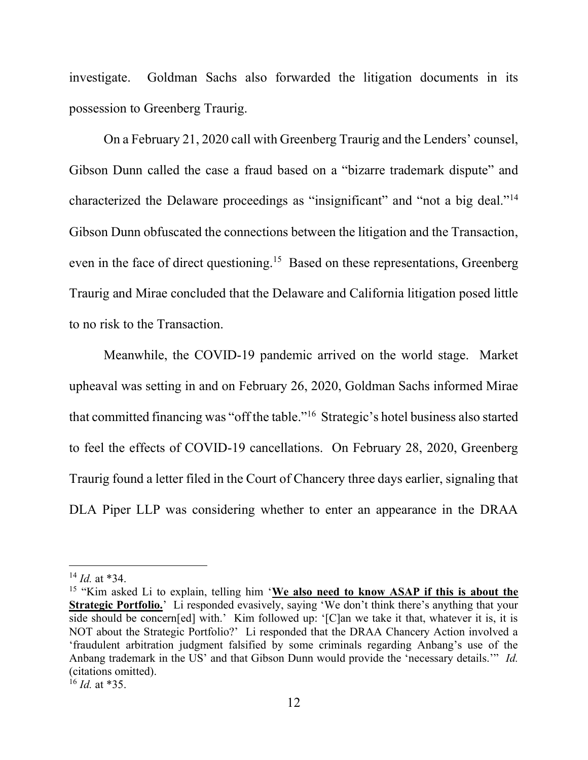investigate. Goldman Sachs also forwarded the litigation documents in its possession to Greenberg Traurig.

On a February 21, 2020 call with Greenberg Traurig and the Lenders' counsel, Gibson Dunn called the case a fraud based on a "bizarre trademark dispute" and characterized the Delaware proceedings as "insignificant" and "not a big deal."<sup>14</sup> Gibson Dunn obfuscated the connections between the litigation and the Transaction, even in the face of direct questioning.<sup>15</sup> Based on these representations, Greenberg Traurig and Mirae concluded that the Delaware and California litigation posed little to no risk to the Transaction.

Meanwhile, the COVID-19 pandemic arrived on the world stage. Market upheaval was setting in and on February 26, 2020, Goldman Sachs informed Mirae that committed financing was "off the table."<sup>16</sup> Strategic's hotel business also started to feel the effects of COVID-19 cancellations. On February 28, 2020, Greenberg Traurig found a letter filed in the Court of Chancery three days earlier, signaling that DLA Piper LLP was considering whether to enter an appearance in the DRAA

 $^{14}$  *Id.* at \*34.

<sup>&</sup>lt;sup>15</sup> "Kim asked Li to explain, telling him 'We also need to know ASAP if this is about the Strategic Portfolio.' Li responded evasively, saying 'We don't think there's anything that your side should be concern[ed] with.' Kim followed up: '[C]an we take it that, whatever it is, it is NOT about the Strategic Portfolio?' Li responded that the DRAA Chancery Action involved a 'fraudulent arbitration judgment falsified by some criminals regarding Anbang's use of the Anbang trademark in the US' and that Gibson Dunn would provide the 'necessary details.'" Id. (citations omitted).

 $^{16}$  *Id.* at \*35.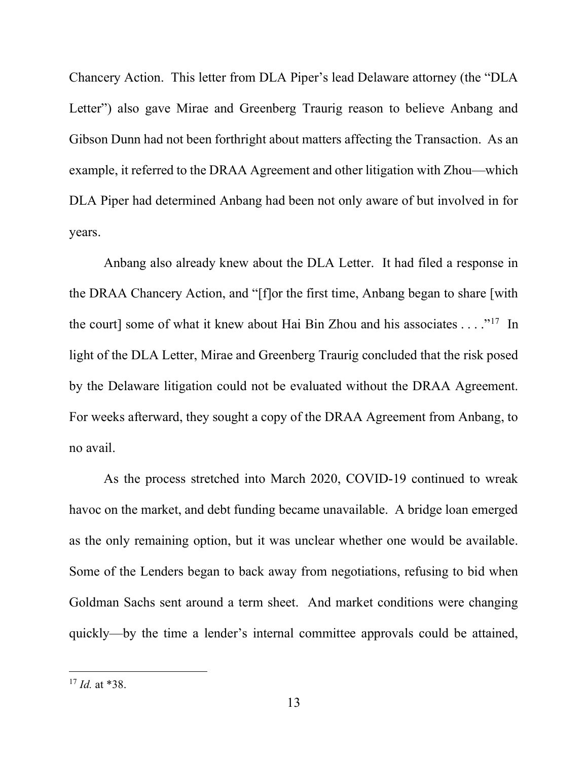Chancery Action. This letter from DLA Piper's lead Delaware attorney (the "DLA Letter") also gave Mirae and Greenberg Traurig reason to believe Anbang and Gibson Dunn had not been forthright about matters affecting the Transaction. As an example, it referred to the DRAA Agreement and other litigation with Zhou—which DLA Piper had determined Anbang had been not only aware of but involved in for years.

Anbang also already knew about the DLA Letter. It had filed a response in the DRAA Chancery Action, and "[f]or the first time, Anbang began to share [with the court] some of what it knew about Hai Bin Zhou and his associates . . . ."<sup>17</sup> In light of the DLA Letter, Mirae and Greenberg Traurig concluded that the risk posed by the Delaware litigation could not be evaluated without the DRAA Agreement. For weeks afterward, they sought a copy of the DRAA Agreement from Anbang, to no avail.

As the process stretched into March 2020, COVID-19 continued to wreak havoc on the market, and debt funding became unavailable. A bridge loan emerged as the only remaining option, but it was unclear whether one would be available. Some of the Lenders began to back away from negotiations, refusing to bid when Goldman Sachs sent around a term sheet. And market conditions were changing quickly—by the time a lender's internal committee approvals could be attained,

 $17$  *Id.* at \*38.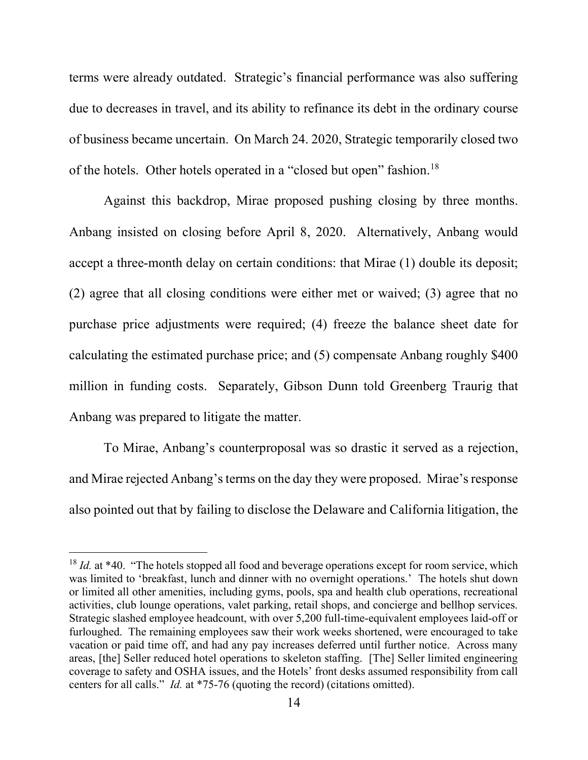terms were already outdated. Strategic's financial performance was also suffering due to decreases in travel, and its ability to refinance its debt in the ordinary course of business became uncertain. On March 24. 2020, Strategic temporarily closed two of the hotels. Other hotels operated in a "closed but open" fashion.<sup>18</sup>

Against this backdrop, Mirae proposed pushing closing by three months. Anbang insisted on closing before April 8, 2020. Alternatively, Anbang would accept a three-month delay on certain conditions: that Mirae (1) double its deposit; (2) agree that all closing conditions were either met or waived; (3) agree that no purchase price adjustments were required; (4) freeze the balance sheet date for calculating the estimated purchase price; and (5) compensate Anbang roughly \$400 million in funding costs. Separately, Gibson Dunn told Greenberg Traurig that Anbang was prepared to litigate the matter.

To Mirae, Anbang's counterproposal was so drastic it served as a rejection, and Mirae rejected Anbang's terms on the day they were proposed. Mirae's response also pointed out that by failing to disclose the Delaware and California litigation, the

 $18$  Id. at \*40. "The hotels stopped all food and beverage operations except for room service, which was limited to 'breakfast, lunch and dinner with no overnight operations.' The hotels shut down or limited all other amenities, including gyms, pools, spa and health club operations, recreational activities, club lounge operations, valet parking, retail shops, and concierge and bellhop services. Strategic slashed employee headcount, with over 5,200 full-time-equivalent employees laid-off or furloughed. The remaining employees saw their work weeks shortened, were encouraged to take vacation or paid time off, and had any pay increases deferred until further notice. Across many areas, [the] Seller reduced hotel operations to skeleton staffing. [The] Seller limited engineering coverage to safety and OSHA issues, and the Hotels' front desks assumed responsibility from call centers for all calls." Id. at \*75-76 (quoting the record) (citations omitted).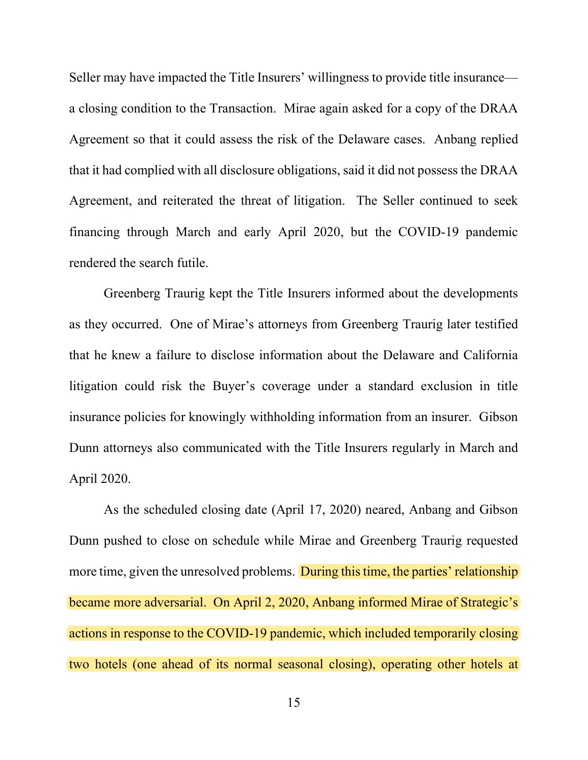Seller may have impacted the Title Insurers' willingness to provide title insurance a closing condition to the Transaction. Mirae again asked for a copy of the DRAA Agreement so that it could assess the risk of the Delaware cases. Anbang replied that it had complied with all disclosure obligations, said it did not possess the DRAA Agreement, and reiterated the threat of litigation. The Seller continued to seek financing through March and early April 2020, but the COVID-19 pandemic rendered the search futile.

Greenberg Traurig kept the Title Insurers informed about the developments as they occurred. One of Mirae's attorneys from Greenberg Traurig later testified that he knew a failure to disclose information about the Delaware and California litigation could risk the Buyer's coverage under a standard exclusion in title insurance policies for knowingly withholding information from an insurer. Gibson Dunn attorneys also communicated with the Title Insurers regularly in March and April 2020.

As the scheduled closing date (April 17, 2020) neared, Anbang and Gibson Dunn pushed to close on schedule while Mirae and Greenberg Traurig requested more time, given the unresolved problems. During this time, the parties' relationship became more adversarial. On April 2, 2020, Anbang informed Mirae of Strategic's actions in response to the COVID-19 pandemic, which included temporarily closing two hotels (one ahead of its normal seasonal closing), operating other hotels at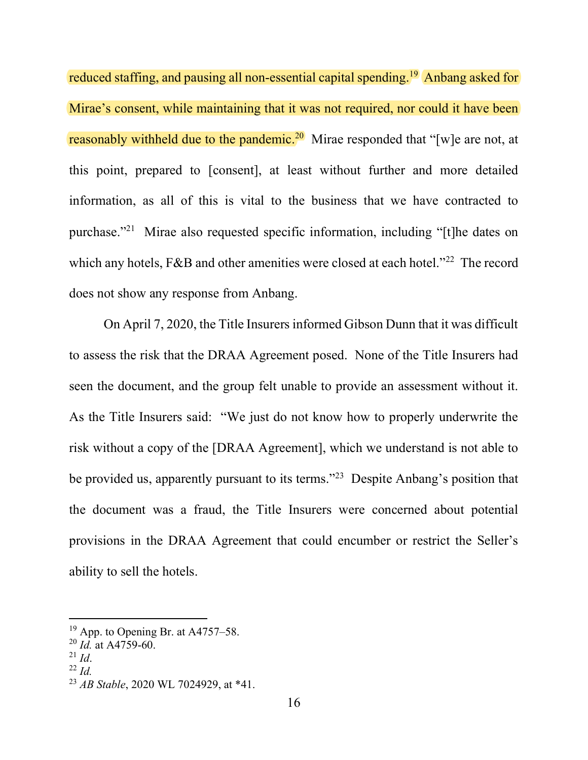reduced staffing, and pausing all non-essential capital spending.<sup>19</sup> Anbang asked for Mirae's consent, while maintaining that it was not required, nor could it have been reasonably withheld due to the pandemic.<sup>20</sup> Mirae responded that "[w]e are not, at this point, prepared to [consent], at least without further and more detailed information, as all of this is vital to the business that we have contracted to purchase."<sup>21</sup> Mirae also requested specific information, including "[t]he dates on which any hotels, F&B and other amenities were closed at each hotel."<sup>22</sup> The record does not show any response from Anbang.

On April 7, 2020, the Title Insurers informed Gibson Dunn that it was difficult to assess the risk that the DRAA Agreement posed. None of the Title Insurers had seen the document, and the group felt unable to provide an assessment without it. As the Title Insurers said: "We just do not know how to properly underwrite the risk without a copy of the [DRAA Agreement], which we understand is not able to be provided us, apparently pursuant to its terms."<sup>23</sup> Despite Anbang's position that the document was a fraud, the Title Insurers were concerned about potential provisions in the DRAA Agreement that could encumber or restrict the Seller's ability to sell the hotels.

- $^{21}$  *Id.*
- $^{22}$  Id.

<sup>&</sup>lt;sup>19</sup> App. to Opening Br. at A4757–58.

 $^{20}$  *Id.* at A4759-60.

<sup>&</sup>lt;sup>23</sup> *AB Stable*, 2020 WL 7024929, at \*41.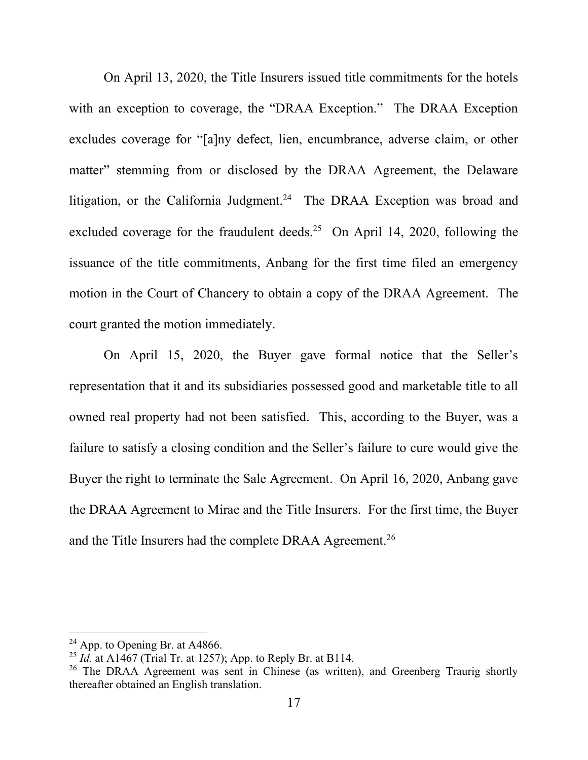On April 13, 2020, the Title Insurers issued title commitments for the hotels with an exception to coverage, the "DRAA Exception." The DRAA Exception excludes coverage for "[a]ny defect, lien, encumbrance, adverse claim, or other matter" stemming from or disclosed by the DRAA Agreement, the Delaware litigation, or the California Judgment.<sup>24</sup> The DRAA Exception was broad and excluded coverage for the fraudulent deeds.<sup>25</sup> On April 14, 2020, following the issuance of the title commitments, Anbang for the first time filed an emergency motion in the Court of Chancery to obtain a copy of the DRAA Agreement. The court granted the motion immediately.

On April 15, 2020, the Buyer gave formal notice that the Seller's representation that it and its subsidiaries possessed good and marketable title to all owned real property had not been satisfied. This, according to the Buyer, was a failure to satisfy a closing condition and the Seller's failure to cure would give the Buyer the right to terminate the Sale Agreement. On April 16, 2020, Anbang gave the DRAA Agreement to Mirae and the Title Insurers. For the first time, the Buyer and the Title Insurers had the complete DRAA Agreement.<sup>26</sup>

 $24$  App. to Opening Br. at A4866.

<sup>&</sup>lt;sup>25</sup> Id. at A1467 (Trial Tr. at 1257); App. to Reply Br. at B114.

<sup>&</sup>lt;sup>26</sup> The DRAA Agreement was sent in Chinese (as written), and Greenberg Traurig shortly thereafter obtained an English translation.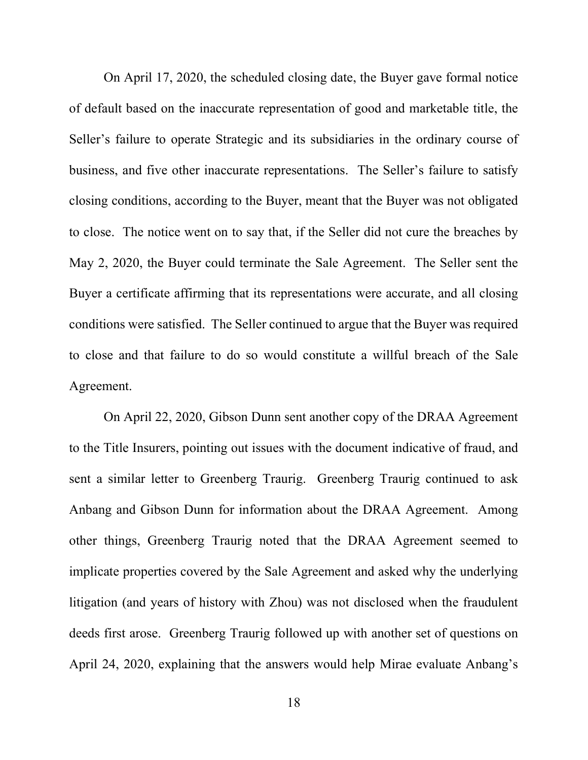On April 17, 2020, the scheduled closing date, the Buyer gave formal notice of default based on the inaccurate representation of good and marketable title, the Seller's failure to operate Strategic and its subsidiaries in the ordinary course of business, and five other inaccurate representations. The Seller's failure to satisfy closing conditions, according to the Buyer, meant that the Buyer was not obligated to close. The notice went on to say that, if the Seller did not cure the breaches by May 2, 2020, the Buyer could terminate the Sale Agreement. The Seller sent the Buyer a certificate affirming that its representations were accurate, and all closing conditions were satisfied. The Seller continued to argue that the Buyer was required to close and that failure to do so would constitute a willful breach of the Sale Agreement.

On April 22, 2020, Gibson Dunn sent another copy of the DRAA Agreement to the Title Insurers, pointing out issues with the document indicative of fraud, and sent a similar letter to Greenberg Traurig. Greenberg Traurig continued to ask Anbang and Gibson Dunn for information about the DRAA Agreement. Among other things, Greenberg Traurig noted that the DRAA Agreement seemed to implicate properties covered by the Sale Agreement and asked why the underlying litigation (and years of history with Zhou) was not disclosed when the fraudulent deeds first arose. Greenberg Traurig followed up with another set of questions on April 24, 2020, explaining that the answers would help Mirae evaluate Anbang's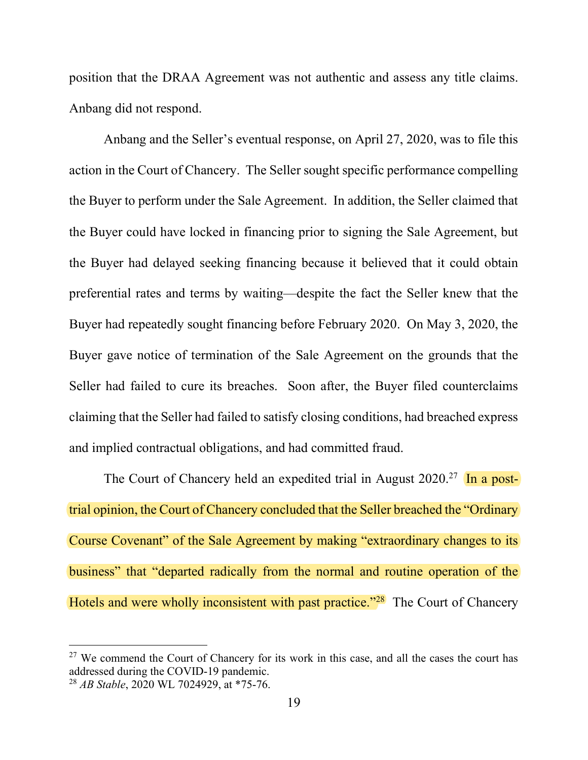position that the DRAA Agreement was not authentic and assess any title claims. Anbang did not respond.

Anbang and the Seller's eventual response, on April 27, 2020, was to file this action in the Court of Chancery. The Seller sought specific performance compelling the Buyer to perform under the Sale Agreement. In addition, the Seller claimed that the Buyer could have locked in financing prior to signing the Sale Agreement, but the Buyer had delayed seeking financing because it believed that it could obtain preferential rates and terms by waiting—despite the fact the Seller knew that the Buyer had repeatedly sought financing before February 2020. On May 3, 2020, the Buyer gave notice of termination of the Sale Agreement on the grounds that the Seller had failed to cure its breaches. Soon after, the Buyer filed counterclaims claiming that the Seller had failed to satisfy closing conditions, had breached express and implied contractual obligations, and had committed fraud.

The Court of Chancery held an expedited trial in August  $2020$ <sup>27</sup> In a posttrial opinion, the Court of Chancery concluded that the Seller breached the "Ordinary Course Covenant" of the Sale Agreement by making "extraordinary changes to its business" that "departed radically from the normal and routine operation of the Hotels and were wholly inconsistent with past practice."<sup>28</sup> The Court of Chancery

 $27$  We commend the Court of Chancery for its work in this case, and all the cases the court has addressed during the COVID-19 pandemic.

 $^{28}$  AB Stable, 2020 WL 7024929, at \*75-76.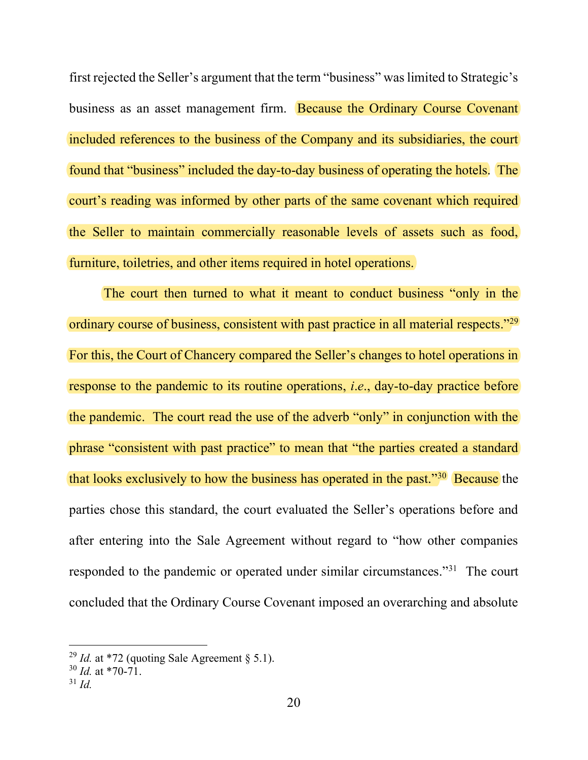first rejected the Seller's argument that the term "business" was limited to Strategic's business as an asset management firm. Because the Ordinary Course Covenant included references to the business of the Company and its subsidiaries, the court found that "business" included the day-to-day business of operating the hotels. The court's reading was informed by other parts of the same covenant which required the Seller to maintain commercially reasonable levels of assets such as food, furniture, toiletries, and other items required in hotel operations.

The court then turned to what it meant to conduct business "only in the ordinary course of business, consistent with past practice in all material respects."<sup>29</sup> For this, the Court of Chancery compared the Seller's changes to hotel operations in response to the pandemic to its routine operations, i.e., day-to-day practice before the pandemic. The court read the use of the adverb "only" in conjunction with the phrase "consistent with past practice" to mean that "the parties created a standard that looks exclusively to how the business has operated in the past."<sup>30</sup> Because the parties chose this standard, the court evaluated the Seller's operations before and after entering into the Sale Agreement without regard to "how other companies responded to the pandemic or operated under similar circumstances."<sup>31</sup> The court concluded that the Ordinary Course Covenant imposed an overarching and absolute

<sup>&</sup>lt;sup>29</sup> Id. at \*72 (quoting Sale Agreement  $\S$  5.1).

 $30$  *Id.* at \*70-71.

 $31$  Id.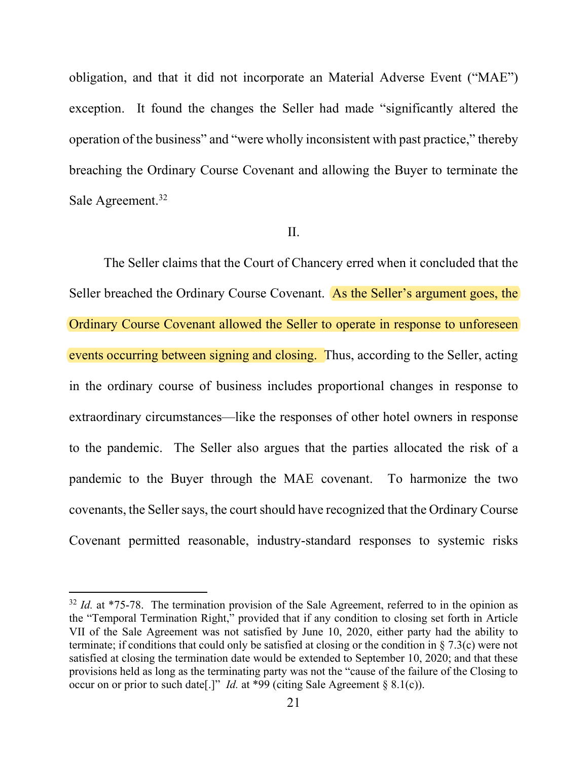obligation, and that it did not incorporate an Material Adverse Event ("MAE") exception. It found the changes the Seller had made "significantly altered the operation of the business" and "were wholly inconsistent with past practice," thereby breaching the Ordinary Course Covenant and allowing the Buyer to terminate the Sale Agreement.<sup>32</sup>

## II.

The Seller claims that the Court of Chancery erred when it concluded that the Seller breached the Ordinary Course Covenant. As the Seller's argument goes, the Ordinary Course Covenant allowed the Seller to operate in response to unforeseen events occurring between signing and closing. Thus, according to the Seller, acting in the ordinary course of business includes proportional changes in response to extraordinary circumstances—like the responses of other hotel owners in response to the pandemic. The Seller also argues that the parties allocated the risk of a pandemic to the Buyer through the MAE covenant. To harmonize the two covenants, the Seller says, the court should have recognized that the Ordinary Course Covenant permitted reasonable, industry-standard responses to systemic risks

 $32$  *Id.* at \*75-78. The termination provision of the Sale Agreement, referred to in the opinion as the "Temporal Termination Right," provided that if any condition to closing set forth in Article VII of the Sale Agreement was not satisfied by June 10, 2020, either party had the ability to terminate; if conditions that could only be satisfied at closing or the condition in § 7.3(c) were not satisfied at closing the termination date would be extended to September 10, 2020; and that these provisions held as long as the terminating party was not the "cause of the failure of the Closing to occur on or prior to such date[.]" Id. at \*99 (citing Sale Agreement  $\S 8.1(c)$ ).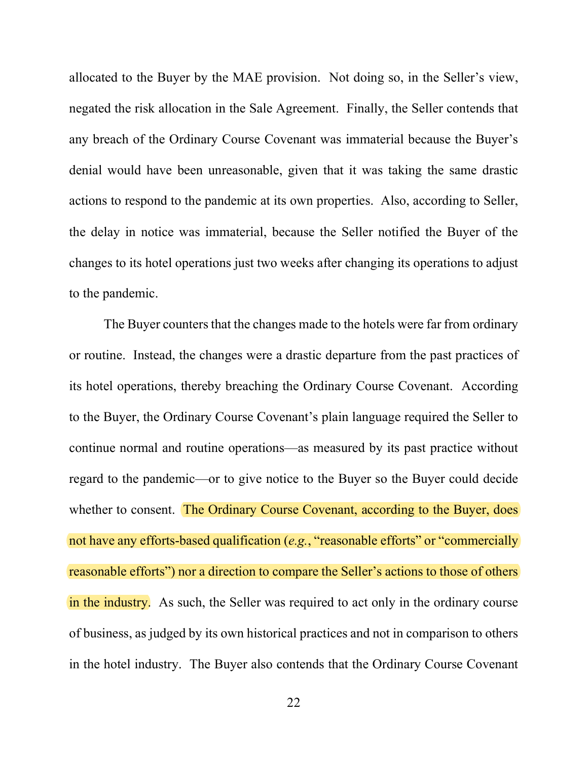allocated to the Buyer by the MAE provision. Not doing so, in the Seller's view, negated the risk allocation in the Sale Agreement. Finally, the Seller contends that any breach of the Ordinary Course Covenant was immaterial because the Buyer's denial would have been unreasonable, given that it was taking the same drastic actions to respond to the pandemic at its own properties. Also, according to Seller, the delay in notice was immaterial, because the Seller notified the Buyer of the changes to its hotel operations just two weeks after changing its operations to adjust to the pandemic.

The Buyer counters that the changes made to the hotels were far from ordinary or routine. Instead, the changes were a drastic departure from the past practices of its hotel operations, thereby breaching the Ordinary Course Covenant. According to the Buyer, the Ordinary Course Covenant's plain language required the Seller to continue normal and routine operations—as measured by its past practice without regard to the pandemic—or to give notice to the Buyer so the Buyer could decide whether to consent. The Ordinary Course Covenant, according to the Buyer, does not have any efforts-based qualification (e.g., "reasonable efforts" or "commercially reasonable efforts") nor a direction to compare the Seller's actions to those of others in the industry. As such, the Seller was required to act only in the ordinary course of business, as judged by its own historical practices and not in comparison to others in the hotel industry. The Buyer also contends that the Ordinary Course Covenant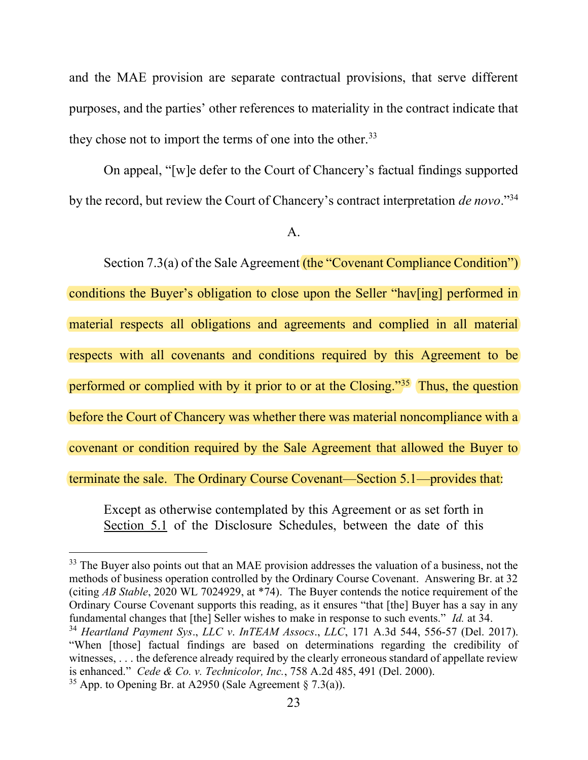and the MAE provision are separate contractual provisions, that serve different purposes, and the parties' other references to materiality in the contract indicate that they chose not to import the terms of one into the other.<sup>33</sup>

On appeal, "[w]e defer to the Court of Chancery's factual findings supported by the record, but review the Court of Chancery's contract interpretation de novo."<sup>34</sup>

Section 7.3(a) of the Sale Agreement (the "Covenant Compliance Condition") conditions the Buyer's obligation to close upon the Seller "hav[ing] performed in material respects all obligations and agreements and complied in all material respects with all covenants and conditions required by this Agreement to be performed or complied with by it prior to or at the Closing."<sup>35</sup> Thus, the question before the Court of Chancery was whether there was material noncompliance with a covenant or condition required by the Sale Agreement that allowed the Buyer to terminate the sale. The Ordinary Course Covenant—Section 5.1—provides that:

Except as otherwise contemplated by this Agreement or as set forth in Section 5.1 of the Disclosure Schedules, between the date of this

A.

<sup>&</sup>lt;sup>33</sup> The Buyer also points out that an MAE provision addresses the valuation of a business, not the methods of business operation controlled by the Ordinary Course Covenant. Answering Br. at 32 (citing AB Stable, 2020 WL 7024929, at \*74). The Buyer contends the notice requirement of the Ordinary Course Covenant supports this reading, as it ensures "that [the] Buyer has a say in any fundamental changes that [the] Seller wishes to make in response to such events." *Id.* at 34.

 $34$  Heartland Payment Sys., LLC v. InTEAM Assocs., LLC, 171 A.3d 544, 556-57 (Del. 2017). "When [those] factual findings are based on determinations regarding the credibility of witnesses, . . . the deference already required by the clearly erroneous standard of appellate review is enhanced." Cede & Co. v. Technicolor, Inc., 758 A.2d 485, 491 (Del. 2000).

<sup>&</sup>lt;sup>35</sup> App. to Opening Br. at A2950 (Sale Agreement  $\S$  7.3(a)).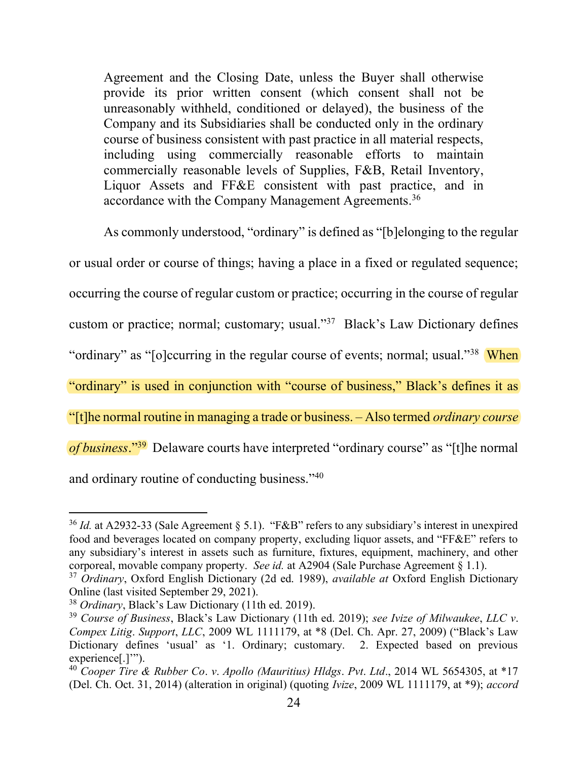Agreement and the Closing Date, unless the Buyer shall otherwise provide its prior written consent (which consent shall not be unreasonably withheld, conditioned or delayed), the business of the Company and its Subsidiaries shall be conducted only in the ordinary course of business consistent with past practice in all material respects, including using commercially reasonable efforts to maintain commercially reasonable levels of Supplies, F&B, Retail Inventory, Liquor Assets and FF&E consistent with past practice, and in accordance with the Company Management Agreements.<sup>36</sup>

As commonly understood, "ordinary" is defined as "[b]elonging to the regular or usual order or course of things; having a place in a fixed or regulated sequence; occurring the course of regular custom or practice; occurring in the course of regular custom or practice; normal; customary; usual."<sup>37</sup> Black's Law Dictionary defines "ordinary" as "[o]ccurring in the regular course of events; normal; usual."<sup>38</sup> When "ordinary" is used in conjunction with "course of business," Black's defines it as "[t]he normal routine in managing a trade or business. – Also termed ordinary course of business."<sup>39</sup> Delaware courts have interpreted "ordinary course" as "[t]he normal and ordinary routine of conducting business."<sup>40</sup>

 $36$  Id. at A2932-33 (Sale Agreement § 5.1). "F&B" refers to any subsidiary's interest in unexpired food and beverages located on company property, excluding liquor assets, and "FF&E" refers to any subsidiary's interest in assets such as furniture, fixtures, equipment, machinery, and other corporeal, movable company property. See id. at A2904 (Sale Purchase Agreement  $\S 1.1$ ).

 $37$  Ordinary, Oxford English Dictionary (2d ed. 1989), available at Oxford English Dictionary Online (last visited September 29, 2021).

<sup>38</sup> Ordinary, Black's Law Dictionary (11th ed. 2019).

 $39$  Course of Business, Black's Law Dictionary (11th ed. 2019); see Ivize of Milwaukee, LLC v. Compex Litig. Support, LLC, 2009 WL 1111179, at \*8 (Del. Ch. Apr. 27, 2009) ("Black's Law Dictionary defines 'usual' as '1. Ordinary; customary. 2. Expected based on previous experience[.]'").

<sup>&</sup>lt;sup>40</sup> Cooper Tire & Rubber Co. v. Apollo (Mauritius) Hldgs. Pvt. Ltd., 2014 WL 5654305, at  $*17$ (Del. Ch. Oct. 31, 2014) (alteration in original) (quoting Ivize, 2009 WL 1111179, at \*9); accord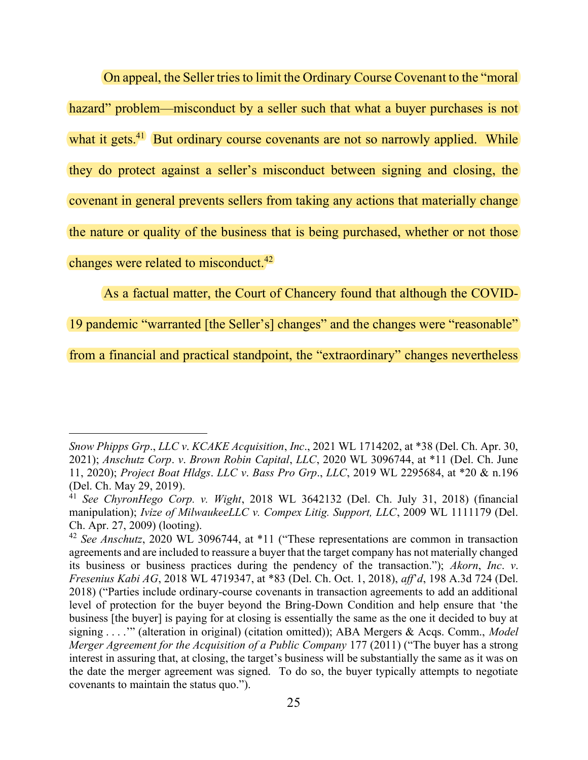On appeal, the Seller tries to limit the Ordinary Course Covenant to the "moral hazard" problem—misconduct by a seller such that what a buyer purchases is not what it gets. $\frac{41}{1}$  But ordinary course covenants are not so narrowly applied. While they do protect against a seller's misconduct between signing and closing, the covenant in general prevents sellers from taking any actions that materially change the nature or quality of the business that is being purchased, whether or not those changes were related to misconduct. $42$ 

As a factual matter, the Court of Chancery found that although the COVID-

19 pandemic "warranted [the Seller's] changes" and the changes were "reasonable"

from a financial and practical standpoint, the "extraordinary" changes nevertheless

Snow Phipps Grp., LLC v. KCAKE Acquisition, Inc., 2021 WL 1714202, at \*38 (Del. Ch. Apr. 30, 2021); Anschutz Corp. v. Brown Robin Capital, LLC, 2020 WL 3096744, at \*11 (Del. Ch. June 11, 2020); Project Boat Hldgs. LLC v. Bass Pro Grp., LLC, 2019 WL 2295684, at \*20 & n.196 (Del. Ch. May 29, 2019).

<sup>&</sup>lt;sup>41</sup> See ChyronHego Corp. v. Wight, 2018 WL 3642132 (Del. Ch. July 31, 2018) (financial manipulation); Ivize of MilwaukeeLLC v. Compex Litig. Support, LLC, 2009 WL 1111179 (Del. Ch. Apr. 27, 2009) (looting).

 $42$  See Anschutz, 2020 WL 3096744, at  $*11$  ("These representations are common in transaction agreements and are included to reassure a buyer that the target company has not materially changed its business or business practices during the pendency of the transaction."); Akorn, Inc. v. Fresenius Kabi AG, 2018 WL 4719347, at \*83 (Del. Ch. Oct. 1, 2018), aff'd, 198 A.3d 724 (Del. 2018) ("Parties include ordinary-course covenants in transaction agreements to add an additional level of protection for the buyer beyond the Bring-Down Condition and help ensure that 'the business [the buyer] is paying for at closing is essentially the same as the one it decided to buy at signing . . . ." (alteration in original) (citation omitted)); ABA Mergers & Acqs. Comm., *Model* Merger Agreement for the Acquisition of a Public Company 177 (2011) ("The buyer has a strong interest in assuring that, at closing, the target's business will be substantially the same as it was on the date the merger agreement was signed. To do so, the buyer typically attempts to negotiate covenants to maintain the status quo.").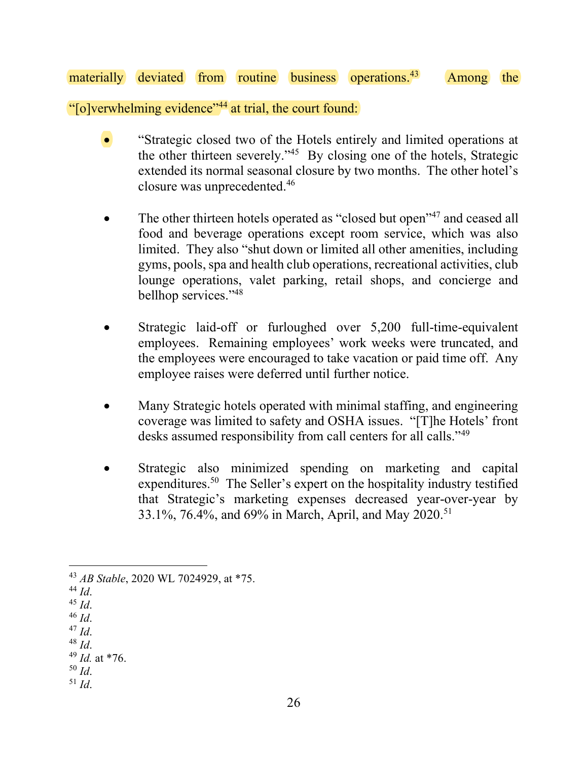## materially deviated from routine business operations.<sup>43</sup> Among the

"[o]verwhelming evidence"<sup>44</sup> at trial, the court found:

- "Strategic closed two of the Hotels entirely and limited operations at the other thirteen severely."<sup>45</sup> By closing one of the hotels, Strategic extended its normal seasonal closure by two months. The other hotel's closure was unprecedented.<sup>46</sup>
- The other thirteen hotels operated as "closed but open"<sup>47</sup> and ceased all food and beverage operations except room service, which was also limited. They also "shut down or limited all other amenities, including gyms, pools, spa and health club operations, recreational activities, club lounge operations, valet parking, retail shops, and concierge and bellhop services."48
- Strategic laid-off or furloughed over 5,200 full-time-equivalent employees. Remaining employees' work weeks were truncated, and the employees were encouraged to take vacation or paid time off. Any employee raises were deferred until further notice.
- Many Strategic hotels operated with minimal staffing, and engineering coverage was limited to safety and OSHA issues. "[T]he Hotels' front desks assumed responsibility from call centers for all calls."<sup>49</sup>
- Strategic also minimized spending on marketing and capital expenditures.<sup>50</sup> The Seller's expert on the hospitality industry testified that Strategic's marketing expenses decreased year-over-year by 33.1%, 76.4%, and 69% in March, April, and May 2020.<sup>51</sup>

- $^{44}$  Id.
- <sup>45</sup> Id.
- $46$  *Id.*
- $^{47}$  Id.
- $^{48}$  *Id.*
- $^{49}$  *Id.* at \*76.
- $50$  Id.  $51$  Id.

<sup>43</sup> AB Stable, 2020 WL 7024929, at \*75.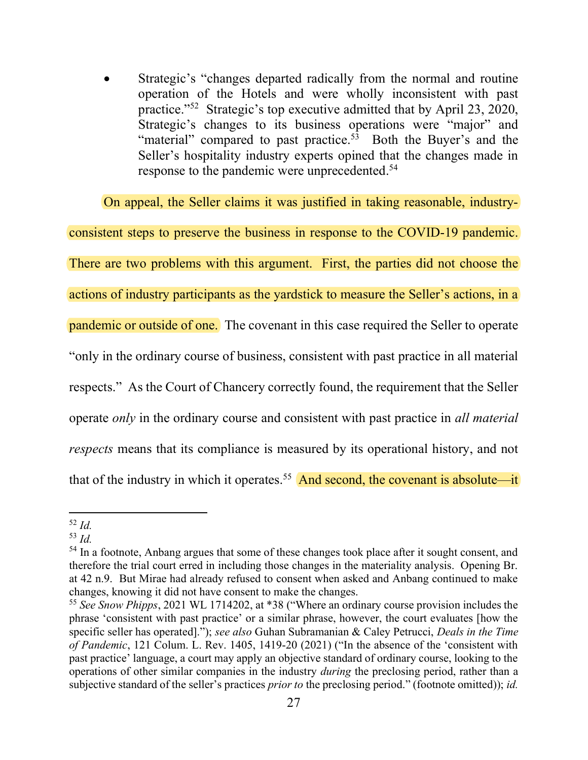Strategic's "changes departed radically from the normal and routine operation of the Hotels and were wholly inconsistent with past practice."<sup>52</sup> Strategic's top executive admitted that by April 23, 2020, Strategic's changes to its business operations were "major" and "material" compared to past practice.<sup>53</sup> Both the Buyer's and the Seller's hospitality industry experts opined that the changes made in response to the pandemic were unprecedented.<sup>54</sup>

On appeal, the Seller claims it was justified in taking reasonable, industryconsistent steps to preserve the business in response to the COVID-19 pandemic. There are two problems with this argument. First, the parties did not choose the actions of industry participants as the yardstick to measure the Seller's actions, in a pandemic or outside of one. The covenant in this case required the Seller to operate "only in the ordinary course of business, consistent with past practice in all material respects." As the Court of Chancery correctly found, the requirement that the Seller operate only in the ordinary course and consistent with past practice in all material respects means that its compliance is measured by its operational history, and not that of the industry in which it operates.<sup>55</sup> And second, the covenant is absolute—it

 $52$  Id.

 $53$  Id.

<sup>&</sup>lt;sup>54</sup> In a footnote, Anbang argues that some of these changes took place after it sought consent, and therefore the trial court erred in including those changes in the materiality analysis. Opening Br. at 42 n.9. But Mirae had already refused to consent when asked and Anbang continued to make changes, knowing it did not have consent to make the changes.

<sup>&</sup>lt;sup>55</sup> See Snow Phipps, 2021 WL 1714202, at \*38 ("Where an ordinary course provision includes the phrase 'consistent with past practice' or a similar phrase, however, the court evaluates [how the specific seller has operated]."); see also Guhan Subramanian & Caley Petrucci, *Deals in the Time* of Pandemic, 121 Colum. L. Rev. 1405, 1419-20 (2021) ("In the absence of the 'consistent with past practice' language, a court may apply an objective standard of ordinary course, looking to the operations of other similar companies in the industry during the preclosing period, rather than a subjective standard of the seller's practices *prior to* the preclosing period." (footnote omitted)); *id.*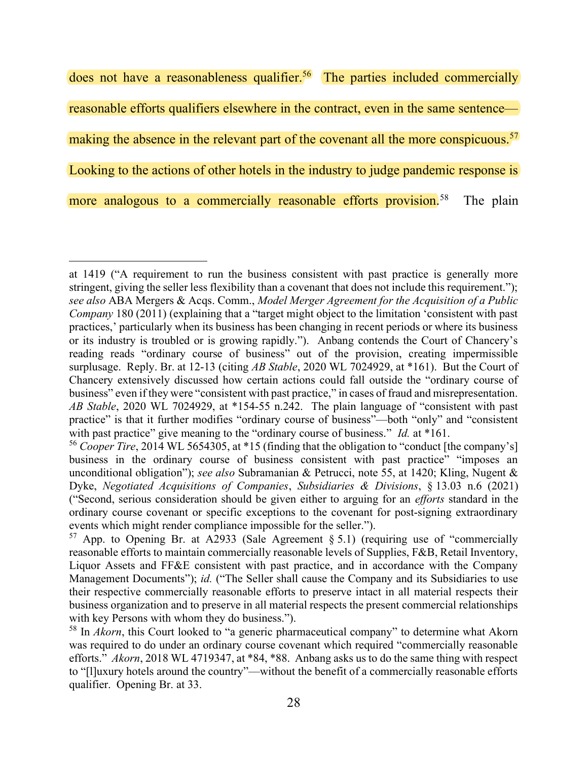does not have a reasonableness qualifier.<sup>56</sup> The parties included commercially reasonable efforts qualifiers elsewhere in the contract, even in the same sentence making the absence in the relevant part of the covenant all the more conspicuous.<sup>57</sup> Looking to the actions of other hotels in the industry to judge pandemic response is more analogous to a commercially reasonable efforts provision.<sup>58</sup> The plain

at 1419 ("A requirement to run the business consistent with past practice is generally more stringent, giving the seller less flexibility than a covenant that does not include this requirement."); see also ABA Mergers & Acqs. Comm., Model Merger Agreement for the Acquisition of a Public Company 180 (2011) (explaining that a "target might object to the limitation 'consistent with past practices,' particularly when its business has been changing in recent periods or where its business or its industry is troubled or is growing rapidly."). Anbang contends the Court of Chancery's reading reads "ordinary course of business" out of the provision, creating impermissible surplusage. Reply. Br. at 12-13 (citing AB Stable, 2020 WL 7024929, at \*161). But the Court of Chancery extensively discussed how certain actions could fall outside the "ordinary course of business" even if they were "consistent with past practice," in cases of fraud and misrepresentation. AB Stable, 2020 WL 7024929, at \*154-55 n.242. The plain language of "consistent with past practice" is that it further modifies "ordinary course of business"—both "only" and "consistent with past practice" give meaning to the "ordinary course of business." *Id.* at \*161.

<sup>&</sup>lt;sup>56</sup> Cooper Tire, 2014 WL 5654305, at \*15 (finding that the obligation to "conduct [the company's] business in the ordinary course of business consistent with past practice" "imposes an unconditional obligation"); see also Subramanian & Petrucci, note 55, at 1420; Kling, Nugent & Dyke, Negotiated Acquisitions of Companies, Subsidiaries & Divisions, § 13.03 n.6 (2021) ("Second, serious consideration should be given either to arguing for an *efforts* standard in the ordinary course covenant or specific exceptions to the covenant for post-signing extraordinary events which might render compliance impossible for the seller.").

<sup>&</sup>lt;sup>57</sup> App. to Opening Br. at A2933 (Sale Agreement  $\S 5.1$ ) (requiring use of "commercially reasonable efforts to maintain commercially reasonable levels of Supplies, F&B, Retail Inventory, Liquor Assets and FF&E consistent with past practice, and in accordance with the Company Management Documents"); id. ("The Seller shall cause the Company and its Subsidiaries to use their respective commercially reasonable efforts to preserve intact in all material respects their business organization and to preserve in all material respects the present commercial relationships with key Persons with whom they do business.").

 $58$  In *Akorn*, this Court looked to "a generic pharmaceutical company" to determine what Akorn was required to do under an ordinary course covenant which required "commercially reasonable efforts." Akorn, 2018 WL 4719347, at \*84, \*88. Anbang asks us to do the same thing with respect to "[l]uxury hotels around the country"—without the benefit of a commercially reasonable efforts qualifier. Opening Br. at 33.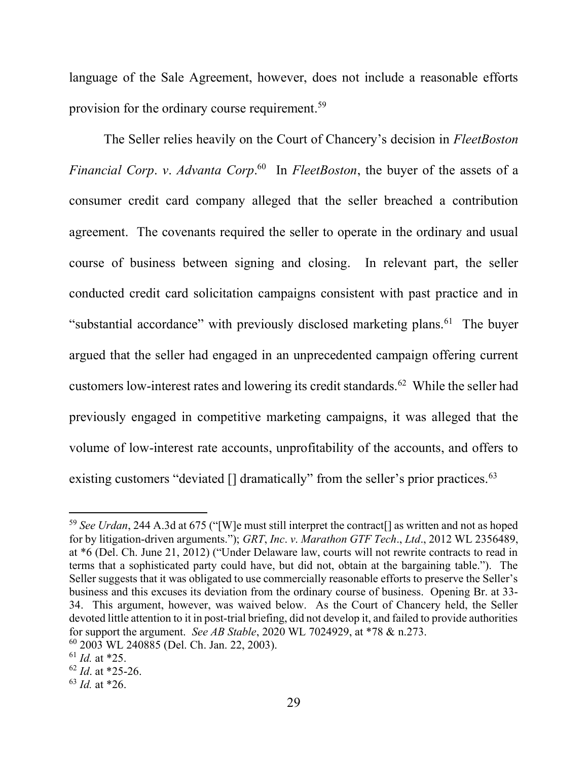language of the Sale Agreement, however, does not include a reasonable efforts provision for the ordinary course requirement.<sup>59</sup>

The Seller relies heavily on the Court of Chancery's decision in FleetBoston Financial Corp. v. Advanta Corp.<sup>60</sup> In FleetBoston, the buyer of the assets of a consumer credit card company alleged that the seller breached a contribution agreement. The covenants required the seller to operate in the ordinary and usual course of business between signing and closing. In relevant part, the seller conducted credit card solicitation campaigns consistent with past practice and in "substantial accordance" with previously disclosed marketing plans.<sup>61</sup> The buyer argued that the seller had engaged in an unprecedented campaign offering current customers low-interest rates and lowering its credit standards.<sup>62</sup> While the seller had previously engaged in competitive marketing campaigns, it was alleged that the volume of low-interest rate accounts, unprofitability of the accounts, and offers to existing customers "deviated  $[]$  dramatically" from the seller's prior practices.<sup>63</sup>

<sup>&</sup>lt;sup>59</sup> See Urdan, 244 A.3d at 675 ("[W]e must still interpret the contract<sup>[]</sup> as written and not as hoped for by litigation-driven arguments."); GRT, Inc. v. Marathon GTF Tech., Ltd., 2012 WL 2356489, at \*6 (Del. Ch. June 21, 2012) ("Under Delaware law, courts will not rewrite contracts to read in terms that a sophisticated party could have, but did not, obtain at the bargaining table."). The Seller suggests that it was obligated to use commercially reasonable efforts to preserve the Seller's business and this excuses its deviation from the ordinary course of business. Opening Br. at 33- 34. This argument, however, was waived below. As the Court of Chancery held, the Seller devoted little attention to it in post-trial briefing, did not develop it, and failed to provide authorities for support the argument. See AB Stable, 2020 WL 7024929, at \*78 & n.273. <sup>60</sup> 2003 WL 240885 (Del. Ch. Jan. 22, 2003).

 $61$  *Id.* at \*25.

 $62$  *Id.* at \*25-26.

 $63$  *Id.* at \*26.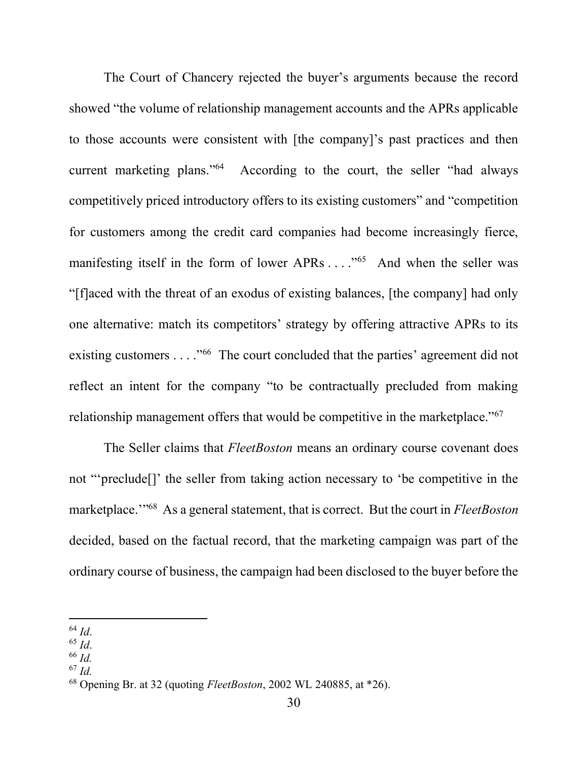The Court of Chancery rejected the buyer's arguments because the record showed "the volume of relationship management accounts and the APRs applicable to those accounts were consistent with [the company]'s past practices and then current marketing plans."<sup>64</sup> According to the court, the seller "had always competitively priced introductory offers to its existing customers" and "competition for customers among the credit card companies had become increasingly fierce, manifesting itself in the form of lower APRs . . . . . . . . . And when the seller was "[f]aced with the threat of an exodus of existing balances, [the company] had only one alternative: match its competitors' strategy by offering attractive APRs to its existing customers . . . . "<sup>66</sup> The court concluded that the parties' agreement did not reflect an intent for the company "to be contractually precluded from making relationship management offers that would be competitive in the marketplace."<sup>67</sup>

The Seller claims that *FleetBoston* means an ordinary course covenant does not "'preclude[]' the seller from taking action necessary to 'be competitive in the marketplace."<sup>68</sup> As a general statement, that is correct. But the court in *FleetBoston* decided, based on the factual record, that the marketing campaign was part of the ordinary course of business, the campaign had been disclosed to the buyer before the

- $66$  Id.
- $67$  Id.

 $^{64}$  *Id.* 

 $65$  Id.

 $68$  Opening Br. at 32 (quoting *FleetBoston*, 2002 WL 240885, at  $*26$ ).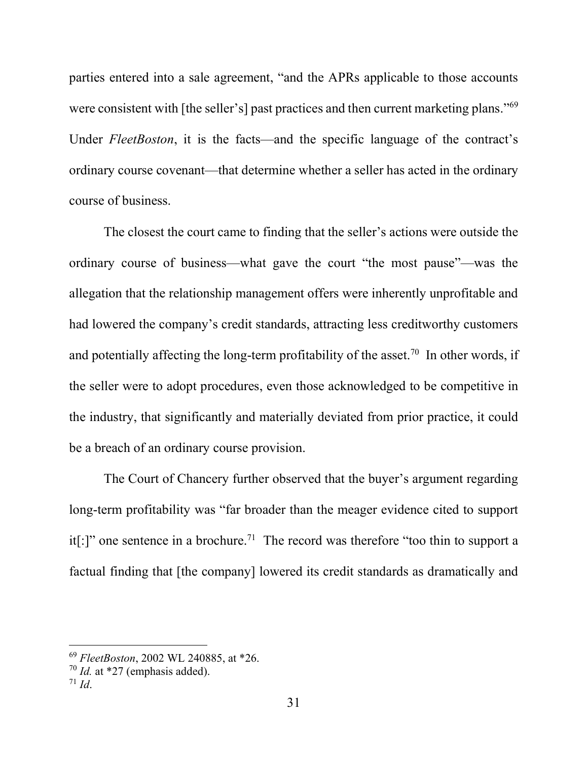parties entered into a sale agreement, "and the APRs applicable to those accounts were consistent with [the seller's] past practices and then current marketing plans."<sup>69</sup> Under FleetBoston, it is the facts—and the specific language of the contract's ordinary course covenant—that determine whether a seller has acted in the ordinary course of business.

The closest the court came to finding that the seller's actions were outside the ordinary course of business—what gave the court "the most pause"—was the allegation that the relationship management offers were inherently unprofitable and had lowered the company's credit standards, attracting less creditworthy customers and potentially affecting the long-term profitability of the asset.<sup>70</sup> In other words, if the seller were to adopt procedures, even those acknowledged to be competitive in the industry, that significantly and materially deviated from prior practice, it could be a breach of an ordinary course provision.

The Court of Chancery further observed that the buyer's argument regarding long-term profitability was "far broader than the meager evidence cited to support it[:]" one sentence in a brochure.<sup>71</sup> The record was therefore "too thin to support a factual finding that [the company] lowered its credit standards as dramatically and

<sup>69</sup> FleetBoston, 2002 WL 240885, at \*26.

 $70$  *Id.* at \*27 (emphasis added).

 $71$  Id.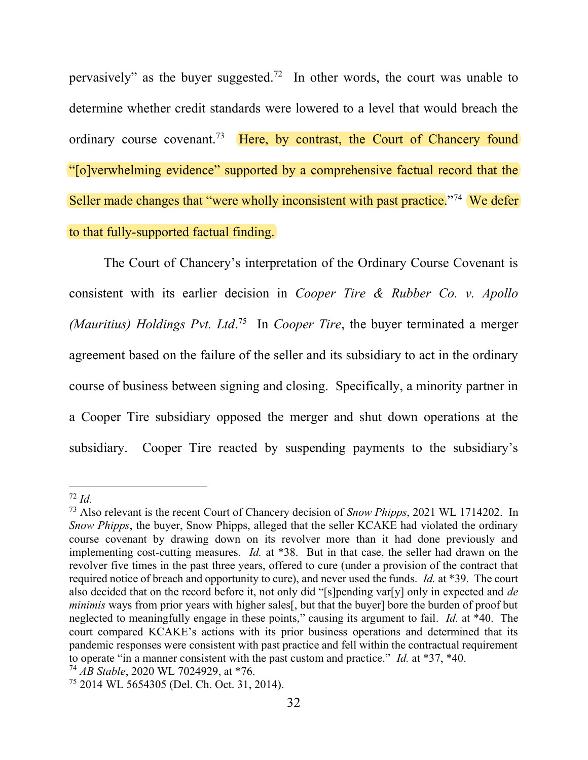pervasively" as the buyer suggested.<sup>72</sup> In other words, the court was unable to determine whether credit standards were lowered to a level that would breach the ordinary course covenant.<sup>73</sup> Here, by contrast, the Court of Chancery found "[o]verwhelming evidence" supported by a comprehensive factual record that the Seller made changes that "were wholly inconsistent with past practice."<sup>74</sup> We defer to that fully-supported factual finding.

The Court of Chancery's interpretation of the Ordinary Course Covenant is consistent with its earlier decision in Cooper Tire & Rubber Co. v. Apollo (Mauritius) Holdings Pvt. Ltd.<sup>75</sup> In Cooper Tire, the buyer terminated a merger agreement based on the failure of the seller and its subsidiary to act in the ordinary course of business between signing and closing. Specifically, a minority partner in a Cooper Tire subsidiary opposed the merger and shut down operations at the subsidiary. Cooper Tire reacted by suspending payments to the subsidiary's

 $74$  AB Stable, 2020 WL 7024929, at \*76.

 $72$  Id.

<sup>&</sup>lt;sup>73</sup> Also relevant is the recent Court of Chancery decision of *Snow Phipps*, 2021 WL 1714202. In Snow Phipps, the buyer, Snow Phipps, alleged that the seller KCAKE had violated the ordinary course covenant by drawing down on its revolver more than it had done previously and implementing cost-cutting measures. Id. at \*38. But in that case, the seller had drawn on the revolver five times in the past three years, offered to cure (under a provision of the contract that required notice of breach and opportunity to cure), and never used the funds. Id. at \*39. The court also decided that on the record before it, not only did "[s]pending var[y] only in expected and de minimis ways from prior years with higher sales<sup>[1]</sup>, but that the buyer] bore the burden of proof but neglected to meaningfully engage in these points," causing its argument to fail. Id. at \*40. The court compared KCAKE's actions with its prior business operations and determined that its pandemic responses were consistent with past practice and fell within the contractual requirement to operate "in a manner consistent with the past custom and practice." Id. at  $*37$ ,  $*40$ .

<sup>75</sup> 2014 WL 5654305 (Del. Ch. Oct. 31, 2014).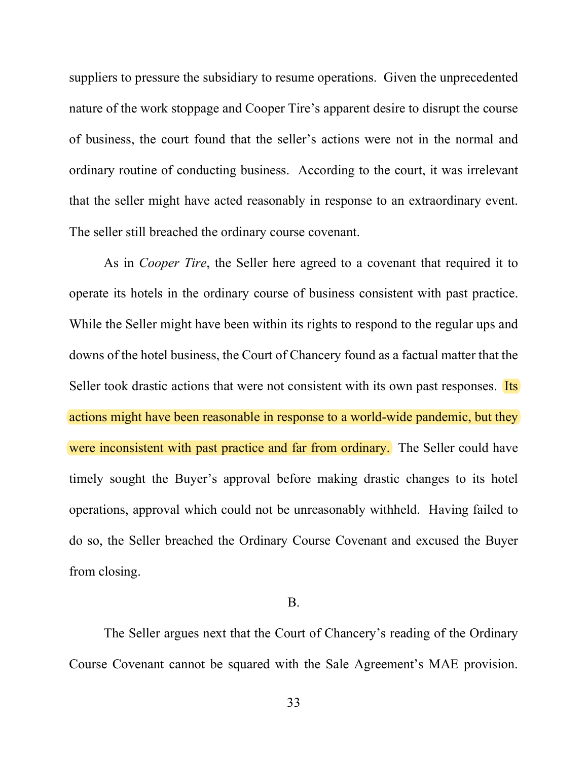suppliers to pressure the subsidiary to resume operations. Given the unprecedented nature of the work stoppage and Cooper Tire's apparent desire to disrupt the course of business, the court found that the seller's actions were not in the normal and ordinary routine of conducting business. According to the court, it was irrelevant that the seller might have acted reasonably in response to an extraordinary event. The seller still breached the ordinary course covenant.

As in *Cooper Tire*, the Seller here agreed to a covenant that required it to operate its hotels in the ordinary course of business consistent with past practice. While the Seller might have been within its rights to respond to the regular ups and downs of the hotel business, the Court of Chancery found as a factual matter that the Seller took drastic actions that were not consistent with its own past responses. Its actions might have been reasonable in response to a world-wide pandemic, but they were inconsistent with past practice and far from ordinary. The Seller could have timely sought the Buyer's approval before making drastic changes to its hotel operations, approval which could not be unreasonably withheld. Having failed to do so, the Seller breached the Ordinary Course Covenant and excused the Buyer from closing.

## B.

The Seller argues next that the Court of Chancery's reading of the Ordinary Course Covenant cannot be squared with the Sale Agreement's MAE provision.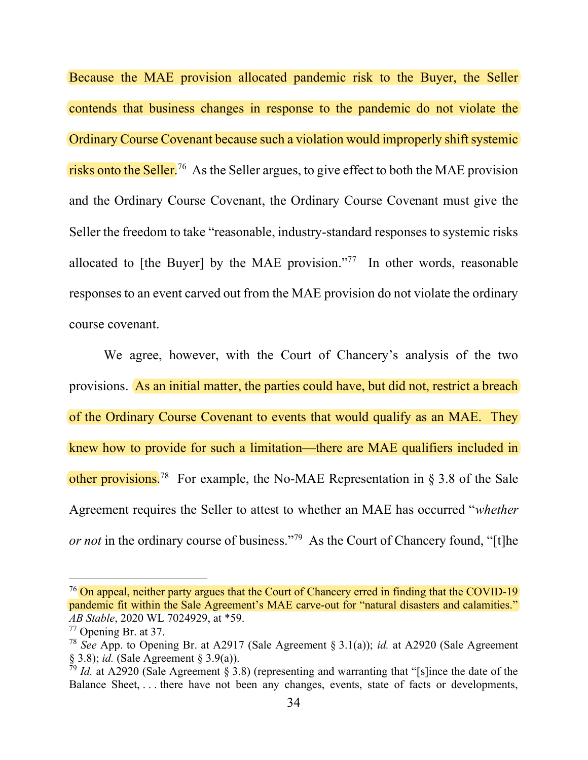Because the MAE provision allocated pandemic risk to the Buyer, the Seller contends that business changes in response to the pandemic do not violate the Ordinary Course Covenant because such a violation would improperly shift systemic risks onto the Seller.<sup>76</sup> As the Seller argues, to give effect to both the MAE provision and the Ordinary Course Covenant, the Ordinary Course Covenant must give the Seller the freedom to take "reasonable, industry-standard responses to systemic risks allocated to [the Buyer] by the MAE provision."<sup>77</sup> In other words, reasonable responses to an event carved out from the MAE provision do not violate the ordinary course covenant.

We agree, however, with the Court of Chancery's analysis of the two provisions. As an initial matter, the parties could have, but did not, restrict a breach of the Ordinary Course Covenant to events that would qualify as an MAE. They knew how to provide for such a limitation—there are MAE qualifiers included in other provisions.<sup>78</sup> For example, the No-MAE Representation in § 3.8 of the Sale Agreement requires the Seller to attest to whether an MAE has occurred "whether or not in the ordinary course of business."<sup>79</sup> As the Court of Chancery found, "[t]he

<sup>&</sup>lt;sup>76</sup> On appeal, neither party argues that the Court of Chancery erred in finding that the COVID-19 pandemic fit within the Sale Agreement's MAE carve-out for "natural disasters and calamities." AB Stable, 2020 WL 7024929, at \*59.

<sup>77</sup> Opening Br. at 37.

<sup>&</sup>lt;sup>78</sup> See App. to Opening Br. at A2917 (Sale Agreement § 3.1(a)); *id.* at A2920 (Sale Agreement § 3.8); id. (Sale Agreement § 3.9(a)).

 $79$  Id. at A2920 (Sale Agreement § 3.8) (representing and warranting that "[s]ince the date of the Balance Sheet, ... there have not been any changes, events, state of facts or developments,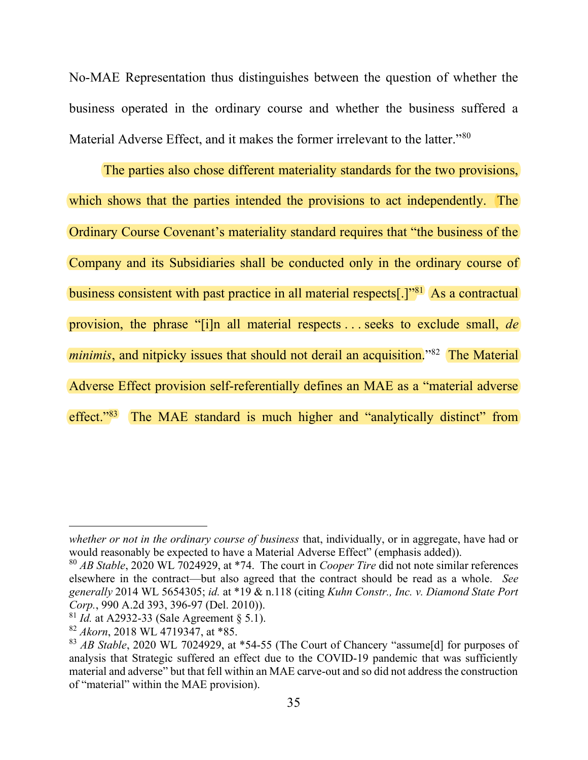No-MAE Representation thus distinguishes between the question of whether the business operated in the ordinary course and whether the business suffered a Material Adverse Effect, and it makes the former irrelevant to the latter."<sup>80</sup>

The parties also chose different materiality standards for the two provisions, which shows that the parties intended the provisions to act independently. The Ordinary Course Covenant's materiality standard requires that "the business of the Company and its Subsidiaries shall be conducted only in the ordinary course of business consistent with past practice in all material respects[.]<sup>"81</sup> As a contractual provision, the phrase "[i]n all material respects . . . seeks to exclude small, de minimis, and nitpicky issues that should not derail an acquisition.<sup>382</sup> The Material Adverse Effect provision self-referentially defines an MAE as a "material adverse effect."<sup>83</sup> The MAE standard is much higher and "analytically distinct" from

whether or not in the ordinary course of business that, individually, or in aggregate, have had or would reasonably be expected to have a Material Adverse Effect" (emphasis added)).

 $80$  AB Stable, 2020 WL 7024929, at \*74. The court in *Cooper Tire* did not note similar references elsewhere in the contract—but also agreed that the contract should be read as a whole. See generally 2014 WL 5654305; id. at \*19 & n.118 (citing Kuhn Constr., Inc. v. Diamond State Port Corp., 990 A.2d 393, 396-97 (Del. 2010)).

 $81$  Id. at A2932-33 (Sale Agreement  $\S$  5.1).

 $82$  Akorn, 2018 WL 4719347, at \*85.

 $83$  AB Stable, 2020 WL 7024929, at  $*54-55$  (The Court of Chancery "assume [d] for purposes of analysis that Strategic suffered an effect due to the COVID-19 pandemic that was sufficiently material and adverse" but that fell within an MAE carve-out and so did not address the construction of "material" within the MAE provision).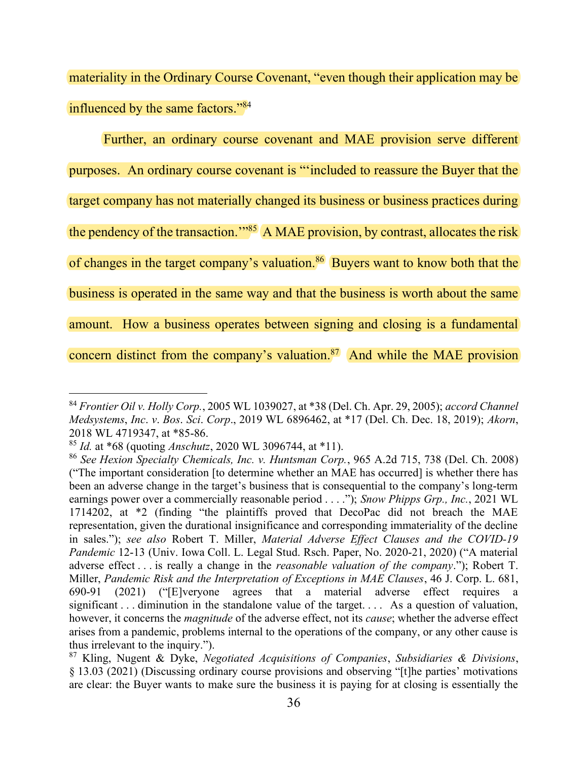materiality in the Ordinary Course Covenant, "even though their application may be influenced by the same factors."<sup>84</sup>

Further, an ordinary course covenant and MAE provision serve different purposes. An ordinary course covenant is "'included to reassure the Buyer that the target company has not materially changed its business or business practices during the pendency of the transaction."<sup>85</sup> A MAE provision, by contrast, allocates the risk of changes in the target company's valuation.<sup>86</sup> Buyers want to know both that the business is operated in the same way and that the business is worth about the same amount. How a business operates between signing and closing is a fundamental concern distinct from the company's valuation. $87$  And while the MAE provision

<sup>&</sup>lt;sup>84</sup> Frontier Oil v. Holly Corp., 2005 WL 1039027, at \*38 (Del. Ch. Apr. 29, 2005); accord Channel Medsystems, Inc. v. Bos. Sci. Corp., 2019 WL 6896462, at \*17 (Del. Ch. Dec. 18, 2019); Akorn, 2018 WL 4719347, at \*85-86.

 $85$  *Id.* at \*68 (quoting *Anschutz*, 2020 WL 3096744, at \*11).

<sup>86</sup> See Hexion Specialty Chemicals, Inc. v. Huntsman Corp., 965 A.2d 715, 738 (Del. Ch. 2008) ("The important consideration [to determine whether an MAE has occurred] is whether there has been an adverse change in the target's business that is consequential to the company's long-term earnings power over a commercially reasonable period . . . ."); Snow Phipps Grp., Inc., 2021 WL 1714202, at \*2 (finding "the plaintiffs proved that DecoPac did not breach the MAE representation, given the durational insignificance and corresponding immateriality of the decline in sales."); see also Robert T. Miller, Material Adverse Effect Clauses and the COVID-19 Pandemic 12-13 (Univ. Iowa Coll. L. Legal Stud. Rsch. Paper, No. 2020-21, 2020) ("A material adverse effect . . . is really a change in the *reasonable valuation of the company*."); Robert T. Miller, Pandemic Risk and the Interpretation of Exceptions in MAE Clauses, 46 J. Corp. L. 681, 690-91 (2021) ("[E]veryone agrees that a material adverse effect requires a significant . . . diminution in the standalone value of the target. . . . As a question of valuation, however, it concerns the *magnitude* of the adverse effect, not its *cause*; whether the adverse effect arises from a pandemic, problems internal to the operations of the company, or any other cause is thus irrelevant to the inquiry.").

 $87$  Kling, Nugent & Dyke, Negotiated Acquisitions of Companies, Subsidiaries & Divisions, § 13.03 (2021) (Discussing ordinary course provisions and observing "[t]he parties' motivations are clear: the Buyer wants to make sure the business it is paying for at closing is essentially the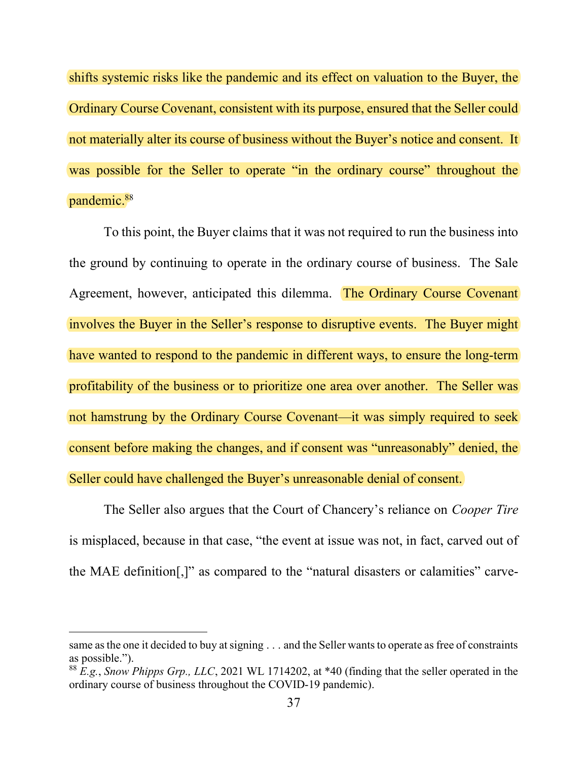shifts systemic risks like the pandemic and its effect on valuation to the Buyer, the Ordinary Course Covenant, consistent with its purpose, ensured that the Seller could not materially alter its course of business without the Buyer's notice and consent. It was possible for the Seller to operate "in the ordinary course" throughout the pandemic.<sup>88</sup>

To this point, the Buyer claims that it was not required to run the business into the ground by continuing to operate in the ordinary course of business. The Sale Agreement, however, anticipated this dilemma. The Ordinary Course Covenant involves the Buyer in the Seller's response to disruptive events. The Buyer might have wanted to respond to the pandemic in different ways, to ensure the long-term profitability of the business or to prioritize one area over another. The Seller was not hamstrung by the Ordinary Course Covenant—it was simply required to seek consent before making the changes, and if consent was "unreasonably" denied, the Seller could have challenged the Buyer's unreasonable denial of consent.

The Seller also argues that the Court of Chancery's reliance on *Cooper Tire* is misplaced, because in that case, "the event at issue was not, in fact, carved out of the MAE definition[,]" as compared to the "natural disasters or calamities" carve-

same as the one it decided to buy at signing . . . and the Seller wants to operate as free of constraints as possible.").

 $88$  E.g., Snow Phipps Grp., LLC, 2021 WL 1714202, at  $*40$  (finding that the seller operated in the ordinary course of business throughout the COVID-19 pandemic).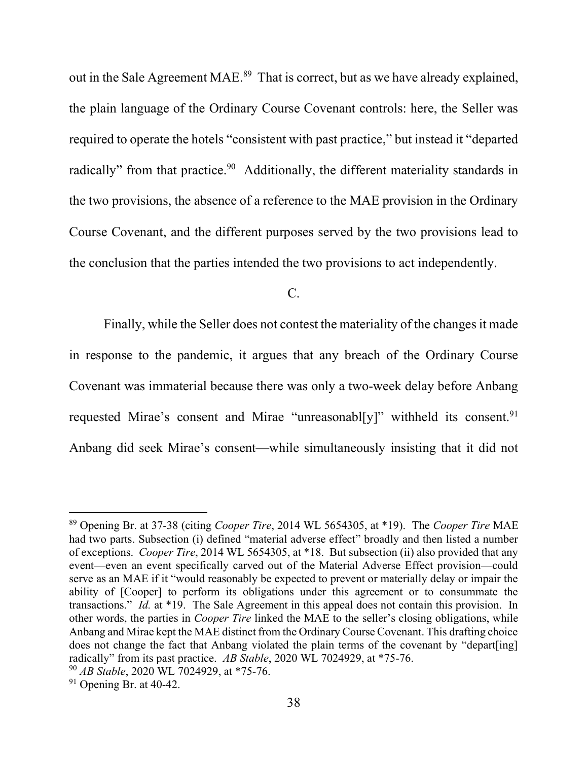out in the Sale Agreement MAE.<sup>89</sup> That is correct, but as we have already explained, the plain language of the Ordinary Course Covenant controls: here, the Seller was required to operate the hotels "consistent with past practice," but instead it "departed radically" from that practice.<sup>90</sup> Additionally, the different materiality standards in the two provisions, the absence of a reference to the MAE provision in the Ordinary Course Covenant, and the different purposes served by the two provisions lead to the conclusion that the parties intended the two provisions to act independently.

 $C<sub>1</sub>$ 

Finally, while the Seller does not contest the materiality of the changes it made in response to the pandemic, it argues that any breach of the Ordinary Course Covenant was immaterial because there was only a two-week delay before Anbang requested Mirae's consent and Mirae "unreasonabl[y]" withheld its consent.<sup>91</sup> Anbang did seek Mirae's consent—while simultaneously insisting that it did not

<sup>&</sup>lt;sup>89</sup> Opening Br. at 37-38 (citing *Cooper Tire*, 2014 WL 5654305, at  $*19$ ). The *Cooper Tire* MAE had two parts. Subsection (i) defined "material adverse effect" broadly and then listed a number of exceptions. Cooper Tire, 2014 WL 5654305, at \*18. But subsection (ii) also provided that any event—even an event specifically carved out of the Material Adverse Effect provision—could serve as an MAE if it "would reasonably be expected to prevent or materially delay or impair the ability of [Cooper] to perform its obligations under this agreement or to consummate the transactions." Id. at \*19. The Sale Agreement in this appeal does not contain this provision. In other words, the parties in Cooper Tire linked the MAE to the seller's closing obligations, while Anbang and Mirae kept the MAE distinct from the Ordinary Course Covenant. This drafting choice does not change the fact that Anbang violated the plain terms of the covenant by "depart[ing] radically" from its past practice. AB Stable, 2020 WL 7024929, at \*75-76.

<sup>90</sup> AB Stable, 2020 WL 7024929, at \*75-76.

 $91$  Opening Br. at 40-42.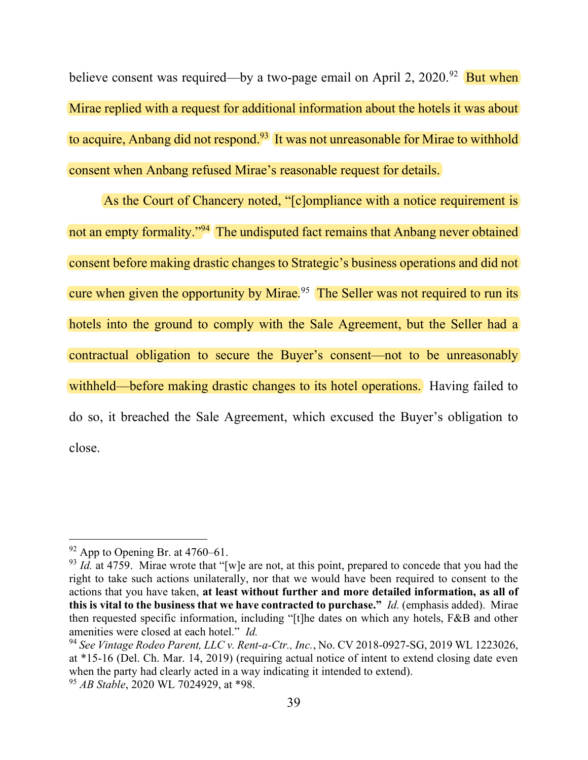believe consent was required—by a two-page email on April 2,  $2020^{92}$  But when Mirae replied with a request for additional information about the hotels it was about to acquire, Anbang did not respond.<sup>93</sup> It was not unreasonable for Mirae to withhold consent when Anbang refused Mirae's reasonable request for details.

As the Court of Chancery noted, "[c]ompliance with a notice requirement is not an empty formality."<sup>94</sup> The undisputed fact remains that Anbang never obtained consent before making drastic changes to Strategic's business operations and did not cure when given the opportunity by Mirae.<sup>95</sup> The Seller was not required to run its hotels into the ground to comply with the Sale Agreement, but the Seller had a contractual obligation to secure the Buyer's consent—not to be unreasonably withheld—before making drastic changes to its hotel operations. Having failed to do so, it breached the Sale Agreement, which excused the Buyer's obligation to close.

 $92$  App to Opening Br. at 4760–61.

 $93$  Id. at 4759. Mirae wrote that "[w]e are not, at this point, prepared to concede that you had the right to take such actions unilaterally, nor that we would have been required to consent to the actions that you have taken, at least without further and more detailed information, as all of this is vital to the business that we have contracted to purchase."  $Id$ . (emphasis added). Mirae then requested specific information, including "[t]he dates on which any hotels, F&B and other amenities were closed at each hotel." Id.

 $94$  See Vintage Rodeo Parent, LLC v. Rent-a-Ctr., Inc., No. CV 2018-0927-SG, 2019 WL 1223026, at \*15-16 (Del. Ch. Mar. 14, 2019) (requiring actual notice of intent to extend closing date even when the party had clearly acted in a way indicating it intended to extend).

<sup>&</sup>lt;sup>95</sup> *AB Stable*, 2020 WL 7024929, at \*98.